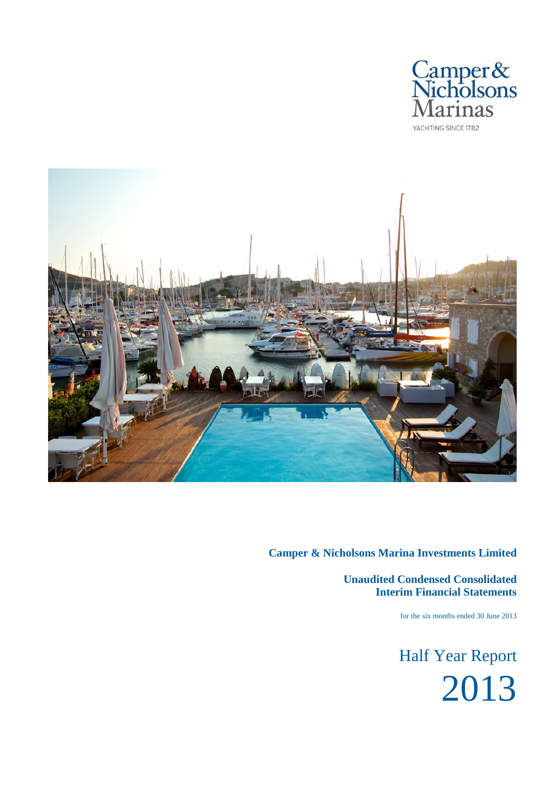



**Unaudited Condensed Consolidated Interim Financial Statements**

for the six months ended 30 June 2013

Half Year Report 2013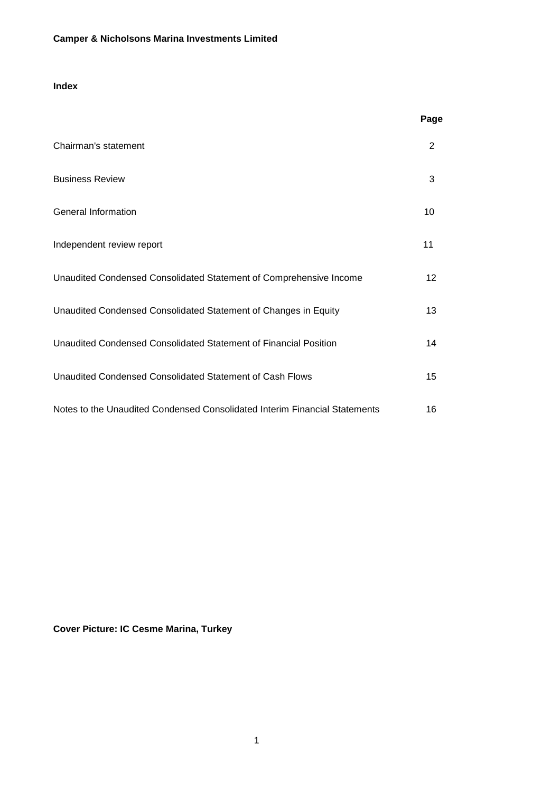# **Index**

|                                                                            | Page |
|----------------------------------------------------------------------------|------|
| Chairman's statement                                                       | 2    |
| <b>Business Review</b>                                                     | 3    |
| General Information                                                        | 10   |
| Independent review report                                                  | 11   |
| Unaudited Condensed Consolidated Statement of Comprehensive Income         | 12   |
| Unaudited Condensed Consolidated Statement of Changes in Equity            | 13   |
| Unaudited Condensed Consolidated Statement of Financial Position           | 14   |
| Unaudited Condensed Consolidated Statement of Cash Flows                   | 15   |
| Notes to the Unaudited Condensed Consolidated Interim Financial Statements | 16   |

**Cover Picture: IC Cesme Marina, Turkey**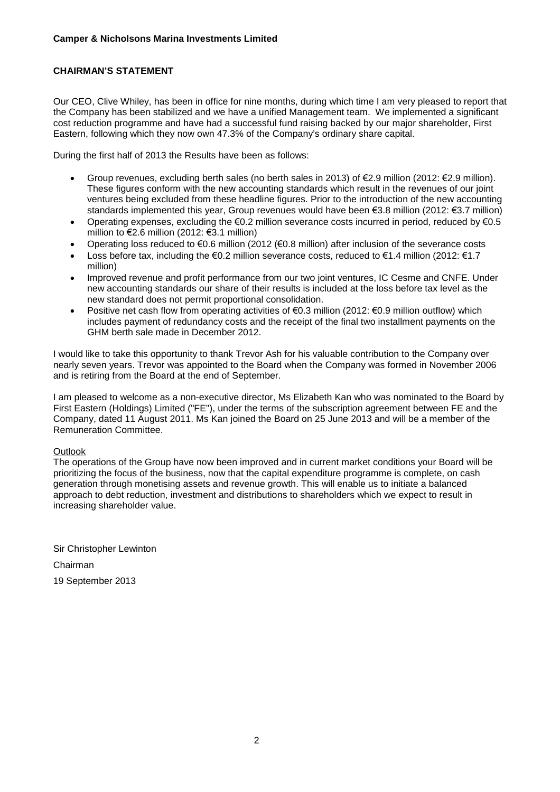# **CHAIRMAN'S STATEMENT**

Our CEO, Clive Whiley, has been in office for nine months, during which time I am very pleased to report that the Company has been stabilized and we have a unified Management team. We implemented a significant cost reduction programme and have had a successful fund raising backed by our major shareholder, First Eastern, following which they now own 47.3% of the Company's ordinary share capital.

During the first half of 2013 the Results have been as follows:

- Group revenues, excluding berth sales (no berth sales in 2013) of  $E$ 2.9 million (2012:  $E$ 2.9 million). These figures conform with the new accounting standards which result in the revenues of our joint ventures being excluded from these headline figures. Prior to the introduction of the new accounting standards implemented this year, Group revenues would have been €3.8 million (2012: €3.7 million)
- Operating expenses, excluding the  $\epsilon$ 0.2 million severance costs incurred in period, reduced by  $\epsilon$ 0.5 million to €2.6 million (2012:  $€3.1$  million)
- Operating loss reduced to €0.6 million (2012 (€0.8 million) after inclusion of the severance costs
- Loss before tax, including the  $\epsilon$ 0.2 million severance costs, reduced to  $\epsilon$ 1.4 million (2012:  $\epsilon$ 1.7 million)
- Improved revenue and profit performance from our two joint ventures, IC Cesme and CNFE. Under new accounting standards our share of their results is included at the loss before tax level as the new standard does not permit proportional consolidation.
- Positive net cash flow from operating activities of €0.3 million (2012: €0.9 million outflow) which includes payment of redundancy costs and the receipt of the final two installment payments on the GHM berth sale made in December 2012.

I would like to take this opportunity to thank Trevor Ash for his valuable contribution to the Company over nearly seven years. Trevor was appointed to the Board when the Company was formed in November 2006 and is retiring from the Board at the end of September.

I am pleased to welcome as a non-executive director, Ms Elizabeth Kan who was nominated to the Board by First Eastern (Holdings) Limited ("FE"), under the terms of the subscription agreement between FE and the Company, dated 11 August 2011. Ms Kan joined the Board on 25 June 2013 and will be a member of the Remuneration Committee.

### **Outlook**

The operations of the Group have now been improved and in current market conditions your Board will be prioritizing the focus of the business, now that the capital expenditure programme is complete, on cash generation through monetising assets and revenue growth. This will enable us to initiate a balanced approach to debt reduction, investment and distributions to shareholders which we expect to result in increasing shareholder value.

Sir Christopher Lewinton Chairman 19 September 2013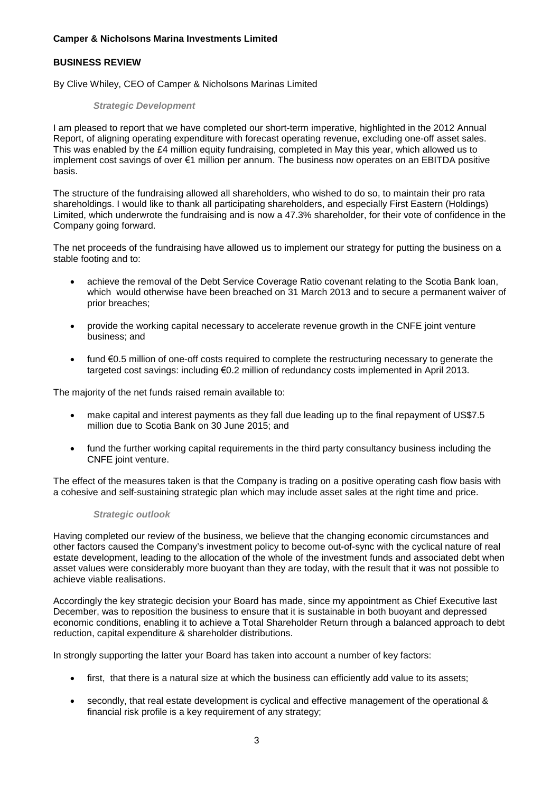# **BUSINESS REVIEW**

By Clive Whiley, CEO of Camper & Nicholsons Marinas Limited

# *Strategic Development*

I am pleased to report that we have completed our short-term imperative, highlighted in the 2012 Annual Report, of aligning operating expenditure with forecast operating revenue, excluding one-off asset sales. This was enabled by the £4 million equity fundraising, completed in May this year, which allowed us to implement cost savings of over €1 million per annum. The business now operates on an EBITDA positive basis.

The structure of the fundraising allowed all shareholders, who wished to do so, to maintain their pro rata shareholdings. I would like to thank all participating shareholders, and especially First Eastern (Holdings) Limited, which underwrote the fundraising and is now a 47.3% shareholder, for their vote of confidence in the Company going forward.

The net proceeds of the fundraising have allowed us to implement our strategy for putting the business on a stable footing and to:

- achieve the removal of the Debt Service Coverage Ratio covenant relating to the Scotia Bank loan, which would otherwise have been breached on 31 March 2013 and to secure a permanent waiver of prior breaches;
- provide the working capital necessary to accelerate revenue growth in the CNFE joint venture business; and
- fund €0.5 million of one-off costs required to complete the restructuring necessary to generate the targeted cost savings: including €0.2 million of redundancy costs implemented in April 2013.

The majority of the net funds raised remain available to:

- make capital and interest payments as they fall due leading up to the final repayment of US\$7.5 million due to Scotia Bank on 30 June 2015; and
- fund the further working capital requirements in the third party consultancy business including the CNFE joint venture.

The effect of the measures taken is that the Company is trading on a positive operating cash flow basis with a cohesive and self-sustaining strategic plan which may include asset sales at the right time and price.

### *Strategic outlook*

Having completed our review of the business, we believe that the changing economic circumstances and other factors caused the Company's investment policy to become out-of-sync with the cyclical nature of real estate development, leading to the allocation of the whole of the investment funds and associated debt when asset values were considerably more buoyant than they are today, with the result that it was not possible to achieve viable realisations.

Accordingly the key strategic decision your Board has made, since my appointment as Chief Executive last December, was to reposition the business to ensure that it is sustainable in both buoyant and depressed economic conditions, enabling it to achieve a Total Shareholder Return through a balanced approach to debt reduction, capital expenditure & shareholder distributions.

In strongly supporting the latter your Board has taken into account a number of key factors:

- first, that there is a natural size at which the business can efficiently add value to its assets;
- secondly, that real estate development is cyclical and effective management of the operational & financial risk profile is a key requirement of any strategy;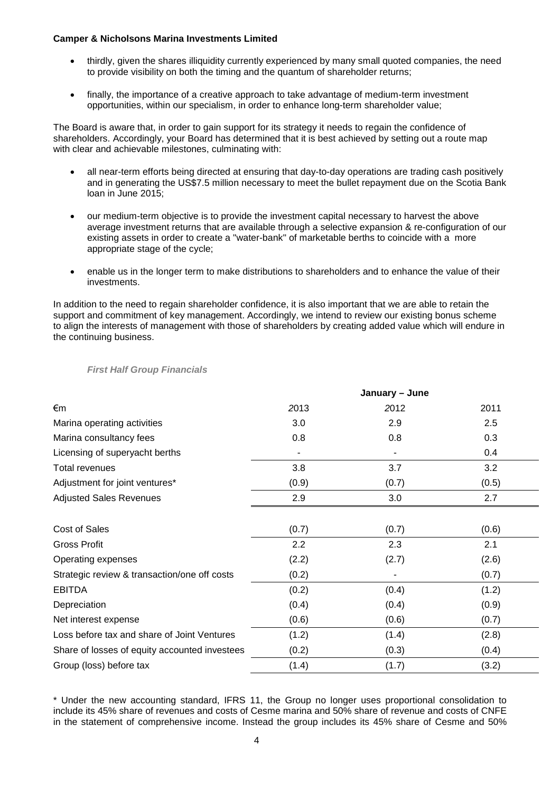- thirdly, given the shares illiquidity currently experienced by many small quoted companies, the need to provide visibility on both the timing and the quantum of shareholder returns;
- finally, the importance of a creative approach to take advantage of medium-term investment opportunities, within our specialism, in order to enhance long-term shareholder value;

The Board is aware that, in order to gain support for its strategy it needs to regain the confidence of shareholders. Accordingly, your Board has determined that it is best achieved by setting out a route map with clear and achievable milestones, culminating with:

- all near-term efforts being directed at ensuring that day-to-day operations are trading cash positively and in generating the US\$7.5 million necessary to meet the bullet repayment due on the Scotia Bank loan in June 2015;
- our medium-term objective is to provide the investment capital necessary to harvest the above average investment returns that are available through a selective expansion & re-configuration of our existing assets in order to create a "water-bank" of marketable berths to coincide with a more appropriate stage of the cycle;
- enable us in the longer term to make distributions to shareholders and to enhance the value of their investments.

In addition to the need to regain shareholder confidence, it is also important that we are able to retain the support and commitment of key management. Accordingly, we intend to review our existing bonus scheme to align the interests of management with those of shareholders by creating added value which will endure in the continuing business.

|                                               |       | January - June |       |
|-----------------------------------------------|-------|----------------|-------|
| €m                                            | 2013  | 2012           | 2011  |
| Marina operating activities                   | 3.0   | 2.9            | 2.5   |
| Marina consultancy fees                       | 0.8   | 0.8            | 0.3   |
| Licensing of superyacht berths                |       |                | 0.4   |
| Total revenues                                | 3.8   | 3.7            | 3.2   |
| Adjustment for joint ventures*                | (0.9) | (0.7)          | (0.5) |
| <b>Adjusted Sales Revenues</b>                | 2.9   | 3.0            | 2.7   |
|                                               |       |                |       |
| Cost of Sales                                 | (0.7) | (0.7)          | (0.6) |
| <b>Gross Profit</b>                           | 2.2   | 2.3            | 2.1   |
| Operating expenses                            | (2.2) | (2.7)          | (2.6) |
| Strategic review & transaction/one off costs  | (0.2) |                | (0.7) |
| <b>EBITDA</b>                                 | (0.2) | (0.4)          | (1.2) |
| Depreciation                                  | (0.4) | (0.4)          | (0.9) |
| Net interest expense                          | (0.6) | (0.6)          | (0.7) |
| Loss before tax and share of Joint Ventures   | (1.2) | (1.4)          | (2.8) |
| Share of losses of equity accounted investees | (0.2) | (0.3)          | (0.4) |
| Group (loss) before tax                       | (1.4) | (1.7)          | (3.2) |

# *First Half Group Financials*

\* Under the new accounting standard, IFRS 11, the Group no longer uses proportional consolidation to include its 45% share of revenues and costs of Cesme marina and 50% share of revenue and costs of CNFE in the statement of comprehensive income. Instead the group includes its 45% share of Cesme and 50%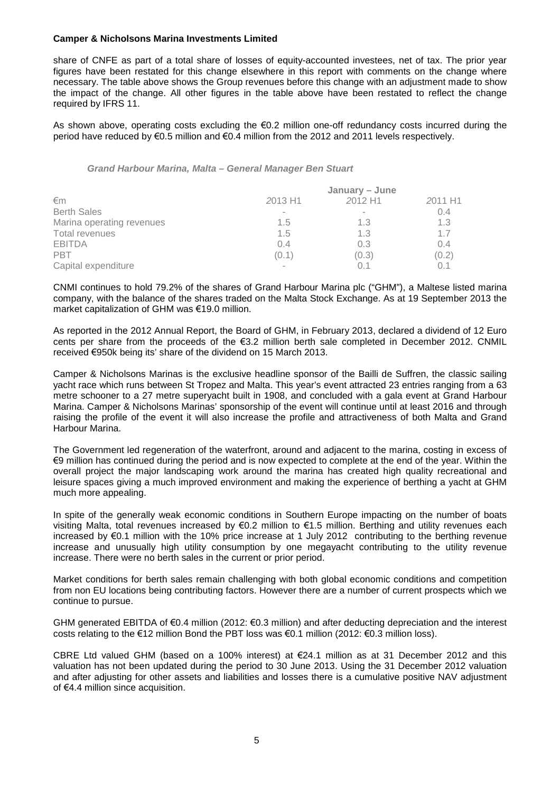share of CNFE as part of a total share of losses of equity-accounted investees, net of tax. The prior year figures have been restated for this change elsewhere in this report with comments on the change where necessary. The table above shows the Group revenues before this change with an adjustment made to show the impact of the change. All other figures in the table above have been restated to reflect the change required by IFRS 11.

As shown above, operating costs excluding the €0.2 million one-off redundancy costs incurred during the period have reduced by €0.5 million and €0.4 million from the 2012 and 2011 levels respectively.

*Grand Harbour Marina, Malta – General Manager Ben Stuart*

| January – June |         |         |  |
|----------------|---------|---------|--|
| 2013 H1        | 2012 H1 | 2011 H1 |  |
|                |         | 0.4     |  |
| 1.5            | 1.3     | 1.3     |  |
| 1.5            | 1.3     | 1.7     |  |
| 0.4            | 0.3     | 0.4     |  |
| (0.1)          | (0.3)   | (0.2)   |  |
|                |         |         |  |
|                |         |         |  |

CNMI continues to hold 79.2% of the shares of Grand Harbour Marina plc ("GHM"), a Maltese listed marina company, with the balance of the shares traded on the Malta Stock Exchange. As at 19 September 2013 the market capitalization of GHM was €19.0 million.

As reported in the 2012 Annual Report, the Board of GHM, in February 2013, declared a dividend of 12 Euro cents per share from the proceeds of the €3.2 million berth sale completed in December 2012. CNMIL received €950k being its' share of the dividend on 15 March 2013.

Camper & Nicholsons Marinas is the exclusive headline sponsor of the Bailli de Suffren, the classic sailing yacht race which runs between St Tropez and Malta. This year's event attracted 23 entries ranging from a 63 metre schooner to a 27 metre superyacht built in 1908, and concluded with a gala event at Grand Harbour Marina. Camper & Nicholsons Marinas' sponsorship of the event will continue until at least 2016 and through raising the profile of the event it will also increase the profile and attractiveness of both Malta and Grand Harbour Marina.

The Government led regeneration of the waterfront, around and adjacent to the marina, costing in excess of €9 million has continued during the period and is now expected to complete at the end of the year. Within the overall project the major landscaping work around the marina has created high quality recreational and leisure spaces giving a much improved environment and making the experience of berthing a yacht at GHM much more appealing.

In spite of the generally weak economic conditions in Southern Europe impacting on the number of boats visiting Malta, total revenues increased by €0.2 million to €1.5 million. Berthing and utility revenues each increased by €0.1 million with the 10% price increase at 1 July 2012 contributing to the berthing revenue increase and unusually high utility consumption by one megayacht contributing to the utility revenue increase. There were no berth sales in the current or prior period.

Market conditions for berth sales remain challenging with both global economic conditions and competition from non EU locations being contributing factors. However there are a number of current prospects which we continue to pursue.

GHM generated EBITDA of €0.4 million (2012: €0.3 million) and after deducting depreciation and the interest costs relating to the €12 million Bond the PBT loss was €0.1 million (2012: €0.3 million loss).

CBRE Ltd valued GHM (based on a 100% interest) at €24.1 million as at 31 December 2012 and this valuation has not been updated during the period to 30 June 2013. Using the 31 December 2012 valuation and after adjusting for other assets and liabilities and losses there is a cumulative positive NAV adjustment of €4.4 million since acquisition.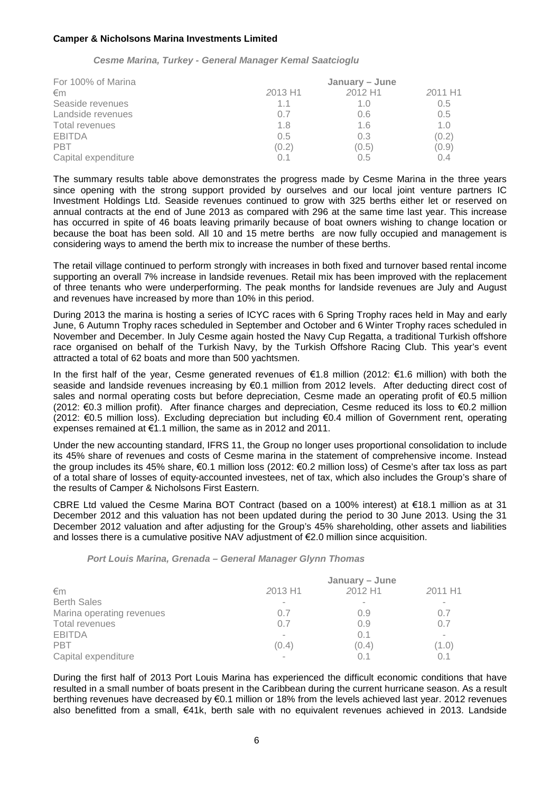*Cesme Marina, Turkey - General Manager Kemal Saatcioglu*

| For 100% of Marina  | January - June |         |         |
|---------------------|----------------|---------|---------|
| €m                  | 2013 H1        | 2012 H1 | 2011 H1 |
| Seaside revenues    | 1.1            | 10      | 0.5     |
| Landside revenues   | 0.7            | 0.6     | 0.5     |
| Total revenues      | 1.8            | 1.6     | 1.0     |
| <b>EBITDA</b>       | 0.5            | 0.3     | (0.2)   |
| <b>PBT</b>          | (0.2)          | (0.5)   | (0.9)   |
| Capital expenditure |                | 0.5     | 04      |

The summary results table above demonstrates the progress made by Cesme Marina in the three years since opening with the strong support provided by ourselves and our local joint venture partners IC Investment Holdings Ltd. Seaside revenues continued to grow with 325 berths either let or reserved on annual contracts at the end of June 2013 as compared with 296 at the same time last year. This increase has occurred in spite of 46 boats leaving primarily because of boat owners wishing to change location or because the boat has been sold. All 10 and 15 metre berths are now fully occupied and management is considering ways to amend the berth mix to increase the number of these berths.

The retail village continued to perform strongly with increases in both fixed and turnover based rental income supporting an overall 7% increase in landside revenues. Retail mix has been improved with the replacement of three tenants who were underperforming. The peak months for landside revenues are July and August and revenues have increased by more than 10% in this period.

During 2013 the marina is hosting a series of ICYC races with 6 Spring Trophy races held in May and early June, 6 Autumn Trophy races scheduled in September and October and 6 Winter Trophy races scheduled in November and December. In July Cesme again hosted the Navy Cup Regatta, a traditional Turkish offshore race organised on behalf of the Turkish Navy, by the Turkish Offshore Racing Club. This year's event attracted a total of 62 boats and more than 500 yachtsmen.

In the first half of the year, Cesme generated revenues of €1.8 million (2012: €1.6 million) with both the seaside and landside revenues increasing by €0.1 million from 2012 levels. After deducting direct cost of sales and normal operating costs but before depreciation. Cesme made an operating profit of €0.5 million (2012: €0.3 million profit). After finance charges and depreciation, Cesme reduced its loss to €0.2 million (2012: €0.5 million loss). Excluding depreciation but including €0.4 million of Government rent, operating expenses remained at  $\epsilon$ 1.1 million, the same as in 2012 and 2011.

Under the new accounting standard, IFRS 11, the Group no longer uses proportional consolidation to include its 45% share of revenues and costs of Cesme marina in the statement of comprehensive income. Instead the group includes its 45% share, €0.1 million loss (2012: €0.2 million loss) of Cesme's after tax loss as part of a total share of losses of equity-accounted investees, net of tax, which also includes the Group's share of the results of Camper & Nicholsons First Eastern.

CBRE Ltd valued the Cesme Marina BOT Contract (based on a 100% interest) at €18.1 million as at 31 December 2012 and this valuation has not been updated during the period to 30 June 2013. Using the 31 December 2012 valuation and after adjusting for the Group's 45% shareholding, other assets and liabilities and losses there is a cumulative positive NAV adjustment of €2.0 million since acquisition.

#### *Port Louis Marina, Grenada – General Manager Glynn Thomas*

|                           | January – June |         |         |  |
|---------------------------|----------------|---------|---------|--|
| €m                        | 2013 H1        | 2012 H1 | 2011 H1 |  |
| <b>Berth Sales</b>        |                | $\sim$  | $\sim$  |  |
| Marina operating revenues | 0.7            | 0.9     | 0.7     |  |
| Total revenues            | 0.7            | 0.9     | 0.7     |  |
| <b>EBITDA</b>             |                | 0.1     | $\sim$  |  |
| <b>PBT</b>                | (0.4)          | (0.4)   | (1.0)   |  |
| Capital expenditure       |                | 0.1     |         |  |

During the first half of 2013 Port Louis Marina has experienced the difficult economic conditions that have resulted in a small number of boats present in the Caribbean during the current hurricane season. As a result berthing revenues have decreased by €0.1 million or 18% from the levels achieved last year. 2012 revenues also benefitted from a small, €41k, berth sale with no equivalent revenues achieved in 2013. Landside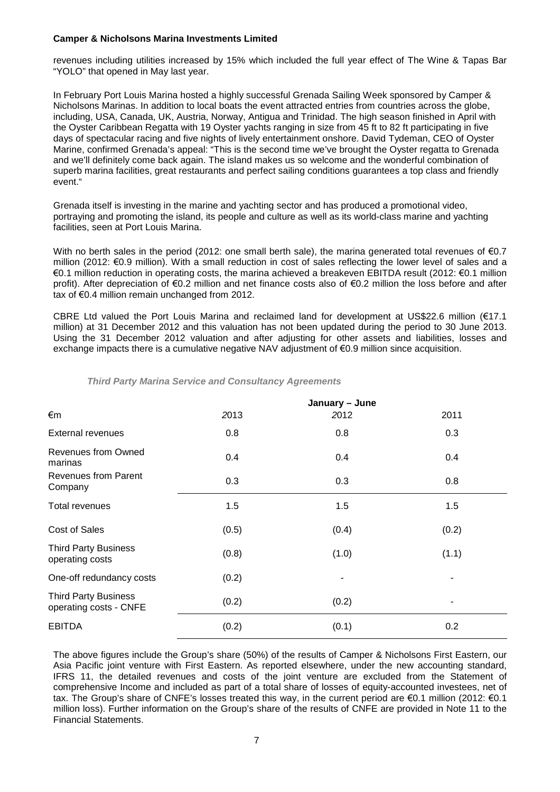revenues including utilities increased by 15% which included the full year effect of The Wine & Tapas Bar "YOLO" that opened in May last year.

In February Port Louis Marina hosted a highly successful Grenada Sailing Week sponsored by Camper & Nicholsons Marinas. In addition to local boats the event attracted entries from countries across the globe, including, USA, Canada, UK, Austria, Norway, Antigua and Trinidad. The high season finished in April with the Oyster Caribbean Regatta with 19 Oyster yachts ranging in size from 45 ft to 82 ft participating in five days of spectacular racing and five nights of lively entertainment onshore. David Tydeman, CEO of Oyster Marine, confirmed Grenada's appeal: "This is the second time we've brought the Oyster regatta to Grenada and we'll definitely come back again. The island makes us so welcome and the wonderful combination of superb marina facilities, great restaurants and perfect sailing conditions guarantees a top class and friendly event."

Grenada itself is investing in the marine and yachting sector and has produced a promotional video, portraying and promoting the island, its people and culture as well as its world-class marine and yachting facilities, seen at Port Louis Marina.

With no berth sales in the period (2012: one small berth sale), the marina generated total revenues of €0.7 million (2012: €0.9 million). With a small reduction in cost of sales reflecting the lower level of sales and a €0.1 million reduction in operating costs, the marina achieved a breakeven EBITDA result (2012: €0.1 million profit). After depreciation of €0.2 million and net finance costs also of €0.2 million the loss before and after tax of €0.4 million remain unchanged from 2012.

CBRE Ltd valued the Port Louis Marina and reclaimed land for development at US\$22.6 million (€17.1 million) at 31 December 2012 and this valuation has not been updated during the period to 30 June 2013. Using the 31 December 2012 valuation and after adjusting for other assets and liabilities, losses and exchange impacts there is a cumulative negative NAV adjustment of €0.9 million since acquisition.

|                                                       | January - June |       |       |  |
|-------------------------------------------------------|----------------|-------|-------|--|
| €m                                                    | 2013           | 2012  | 2011  |  |
| <b>External revenues</b>                              | 0.8            | 0.8   | 0.3   |  |
| <b>Revenues from Owned</b><br>marinas                 | 0.4            | 0.4   | 0.4   |  |
| <b>Revenues from Parent</b><br>Company                | 0.3            | 0.3   | 0.8   |  |
| Total revenues                                        | 1.5            | 1.5   | 1.5   |  |
| Cost of Sales                                         | (0.5)          | (0.4) | (0.2) |  |
| <b>Third Party Business</b><br>operating costs        | (0.8)          | (1.0) | (1.1) |  |
| One-off redundancy costs                              | (0.2)          |       |       |  |
| <b>Third Party Business</b><br>operating costs - CNFE | (0.2)          | (0.2) |       |  |
| <b>EBITDA</b>                                         | (0.2)          | (0.1) | 0.2   |  |

# *Third Party Marina Service and Consultancy Agreements*

The above figures include the Group's share (50%) of the results of Camper & Nicholsons First Eastern, our Asia Pacific joint venture with First Eastern. As reported elsewhere, under the new accounting standard, IFRS 11, the detailed revenues and costs of the joint venture are excluded from the Statement of comprehensive Income and included as part of a total share of losses of equity-accounted investees, net of tax. The Group's share of CNFE's losses treated this way, in the current period are €0.1 million (2012: €0.1 million loss). Further information on the Group's share of the results of CNFE are provided in Note 11 to the Financial Statements.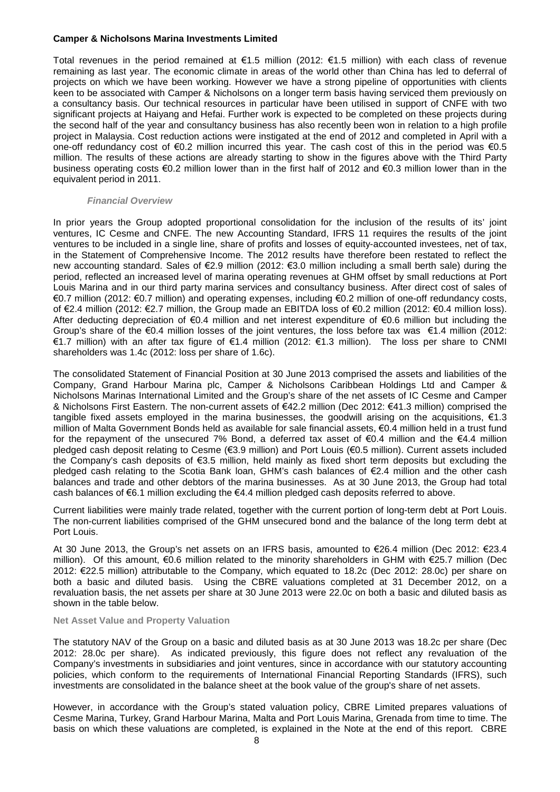Total revenues in the period remained at €1.5 million (2012: €1.5 million) with each class of revenue remaining as last year. The economic climate in areas of the world other than China has led to deferral of projects on which we have been working. However we have a strong pipeline of opportunities with clients keen to be associated with Camper & Nicholsons on a longer term basis having serviced them previously on a consultancy basis. Our technical resources in particular have been utilised in support of CNFE with two significant projects at Haiyang and Hefai. Further work is expected to be completed on these projects during the second half of the year and consultancy business has also recently been won in relation to a high profile project in Malaysia. Cost reduction actions were instigated at the end of 2012 and completed in April with a one-off redundancy cost of €0.2 million incurred this year. The cash cost of this in the period was €0.5 million. The results of these actions are already starting to show in the figures above with the Third Party business operating costs €0.2 million lower than in the first half of 2012 and €0.3 million lower than in the equivalent period in 2011.

### *Financial Overview*

In prior years the Group adopted proportional consolidation for the inclusion of the results of its' joint ventures, IC Cesme and CNFE. The new Accounting Standard, IFRS 11 requires the results of the joint ventures to be included in a single line, share of profits and losses of equity-accounted investees, net of tax, in the Statement of Comprehensive Income. The 2012 results have therefore been restated to reflect the new accounting standard. Sales of €2.9 million (2012: €3.0 million including a small berth sale) during the period, reflected an increased level of marina operating revenues at GHM offset by small reductions at Port Louis Marina and in our third party marina services and consultancy business. After direct cost of sales of €0.7 million (2012: €0.7 million) and operating expenses, including €0.2 million of one-off redundancy costs, of €2.4 million (2012: €2.7 million, the Group made an EBITDA loss of €0.2 million (2012: €0.4 million loss). After deducting depreciation of €0.4 million and net interest expenditure of €0.6 million but including the Group's share of the €0.4 million losses of the joint ventures, the loss before tax was €1.4 million (2012: €1.7 million) with an after tax figure of €1.4 million (2012: €1.3 million). The loss per share to CNMI shareholders was 1.4c (2012: loss per share of 1.6c).

The consolidated Statement of Financial Position at 30 June 2013 comprised the assets and liabilities of the Company, Grand Harbour Marina plc, Camper & Nicholsons Caribbean Holdings Ltd and Camper & Nicholsons Marinas International Limited and the Group's share of the net assets of IC Cesme and Camper & Nicholsons First Eastern. The non-current assets of €42.2 million (Dec 2012: €41.3 million) comprised the tangible fixed assets employed in the marina businesses, the goodwill arising on the acquisitions, €1.3 million of Malta Government Bonds held as available for sale financial assets, €0.4 million held in a trust fund for the repayment of the unsecured 7% Bond, a deferred tax asset of  $\epsilon$ 0.4 million and the  $\epsilon$ 4.4 million pledged cash deposit relating to Cesme (€3.9 million) and Port Louis (€0.5 million). Current assets included the Company's cash deposits of €3.5 million, held mainly as fixed short term deposits but excluding the pledged cash relating to the Scotia Bank loan, GHM's cash balances of €2.4 million and the other cash balances and trade and other debtors of the marina businesses. As at 30 June 2013, the Group had total cash balances of €6.1 million excluding the €4.4 million pledged cash deposits referred to above.

Current liabilities were mainly trade related, together with the current portion of long-term debt at Port Louis. The non-current liabilities comprised of the GHM unsecured bond and the balance of the long term debt at Port Louis.

At 30 June 2013, the Group's net assets on an IFRS basis, amounted to €26.4 million (Dec 2012: €23.4 million). Of this amount, €0.6 million related to the minority shareholders in GHM with €25.7 million (Dec 2012: €22.5 million) attributable to the Company, which equated to 18.2c (Dec 2012: 28.0c) per share on both a basic and diluted basis. Using the CBRE valuations completed at 31 December 2012, on a revaluation basis, the net assets per share at 30 June 2013 were 22.0c on both a basic and diluted basis as shown in the table below.

#### **Net Asset Value and Property Valuation**

The statutory NAV of the Group on a basic and diluted basis as at 30 June 2013 was 18.2c per share (Dec 2012: 28.0c per share). As indicated previously, this figure does not reflect any revaluation of the Company's investments in subsidiaries and joint ventures, since in accordance with our statutory accounting policies, which conform to the requirements of International Financial Reporting Standards (IFRS), such investments are consolidated in the balance sheet at the book value of the group's share of net assets.

However, in accordance with the Group's stated valuation policy, CBRE Limited prepares valuations of Cesme Marina, Turkey, Grand Harbour Marina, Malta and Port Louis Marina, Grenada from time to time. The basis on which these valuations are completed, is explained in the Note at the end of this report. CBRE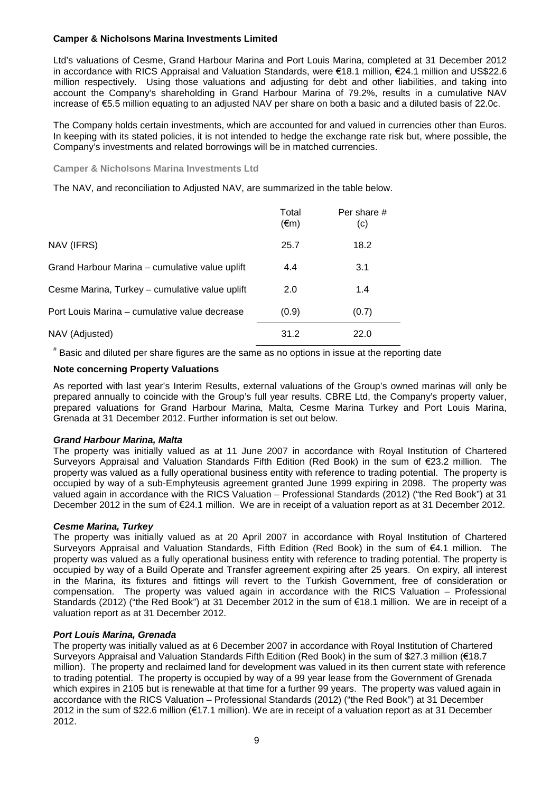Ltd's valuations of Cesme, Grand Harbour Marina and Port Louis Marina, completed at 31 December 2012 in accordance with RICS Appraisal and Valuation Standards, were €18.1 million, €24.1 million and US\$22.6 million respectively. Using those valuations and adjusting for debt and other liabilities, and taking into account the Company's shareholding in Grand Harbour Marina of 79.2%, results in a cumulative NAV increase of €5.5 million equating to an adjusted NAV per share on both a basic and a diluted basis of 22.0c.

The Company holds certain investments, which are accounted for and valued in currencies other than Euros. In keeping with its stated policies, it is not intended to hedge the exchange rate risk but, where possible, the Company's investments and related borrowings will be in matched currencies.

**Camper & Nicholsons Marina Investments Ltd**

The NAV, and reconciliation to Adjusted NAV, are summarized in the table below.

|                                                | Total<br>$(\epsilon m)$ | Per share #<br>(c) |  |
|------------------------------------------------|-------------------------|--------------------|--|
| NAV (IFRS)                                     | 25.7                    | 18.2               |  |
| Grand Harbour Marina - cumulative value uplift | 4.4                     | 3.1                |  |
| Cesme Marina, Turkey - cumulative value uplift | 2.0                     | 1.4                |  |
| Port Louis Marina - cumulative value decrease  | (0.9)                   | (0.7)              |  |
| NAV (Adjusted)                                 | 31.2                    | 22.0               |  |

# Basic and diluted per share figures are the same as no options in issue at the reporting date

### **Note concerning Property Valuations**

As reported with last year's Interim Results, external valuations of the Group's owned marinas will only be prepared annually to coincide with the Group's full year results. CBRE Ltd, the Company's property valuer, prepared valuations for Grand Harbour Marina, Malta, Cesme Marina Turkey and Port Louis Marina, Grenada at 31 December 2012. Further information is set out below.

### *Grand Harbour Marina, Malta*

The property was initially valued as at 11 June 2007 in accordance with Royal Institution of Chartered Surveyors Appraisal and Valuation Standards Fifth Edition (Red Book) in the sum of €23.2 million. The property was valued as a fully operational business entity with reference to trading potential. The property is occupied by way of a sub-Emphyteusis agreement granted June 1999 expiring in 2098. The property was valued again in accordance with the RICS Valuation – Professional Standards (2012) ("the Red Book") at 31 December 2012 in the sum of €24.1 million. We are in receipt of a valuation report as at 31 December 2012.

### *Cesme Marina, Turkey*

The property was initially valued as at 20 April 2007 in accordance with Royal Institution of Chartered Surveyors Appraisal and Valuation Standards, Fifth Edition (Red Book) in the sum of €4.1 million. The property was valued as a fully operational business entity with reference to trading potential. The property is occupied by way of a Build Operate and Transfer agreement expiring after 25 years. On expiry, all interest in the Marina, its fixtures and fittings will revert to the Turkish Government, free of consideration or compensation. The property was valued again in accordance with the RICS Valuation – Professional Standards (2012) ("the Red Book") at 31 December 2012 in the sum of €18.1 million. We are in receipt of a valuation report as at 31 December 2012.

### *Port Louis Marina, Grenada*

The property was initially valued as at 6 December 2007 in accordance with Royal Institution of Chartered Surveyors Appraisal and Valuation Standards Fifth Edition (Red Book) in the sum of \$27.3 million (€18.7 million). The property and reclaimed land for development was valued in its then current state with reference to trading potential. The property is occupied by way of a 99 year lease from the Government of Grenada which expires in 2105 but is renewable at that time for a further 99 years. The property was valued again in accordance with the RICS Valuation – Professional Standards (2012) ("the Red Book") at 31 December 2012 in the sum of \$22.6 million (€17.1 million). We are in receipt of a valuation report as at 31 December 2012.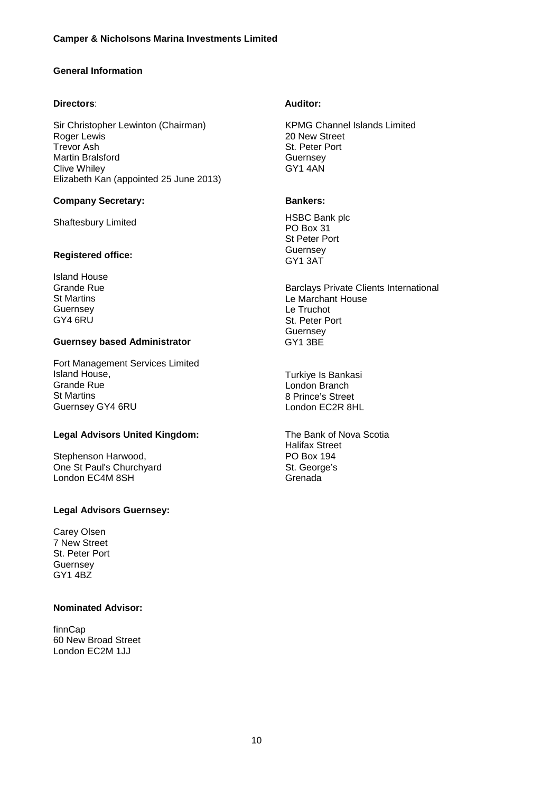# **General Information**

# **Directors**:

Sir Christopher Lewinton (Chairman) Roger Lewis Trevor Ash Martin Bralsford Clive Whiley Elizabeth Kan (appointed 25 June 2013)

# **Company Secretary:**

Shaftesbury Limited

# **Registered office:**

Island House Grande Rue St Martins **Guernsey** GY4 6RU

# **Guernsey based Administrator**

Fort Management Services Limited Island House, Grande Rue St Martins Guernsey GY4 6RU

# **Legal Advisors United Kingdom:**

Stephenson Harwood, One St Paul's Churchyard London EC4M 8SH

# **Legal Advisors Guernsey:**

Carey Olsen 7 New Street St. Peter Port **Guernsey** GY1 4BZ

### **Nominated Advisor:**

finnCap 60 New Broad Street London EC2M 1JJ

# **Auditor:**

KPMG Channel Islands Limited 20 New Street St. Peter Port **Guernsey** GY1 4AN

# **Bankers:**

HSBC Bank plc PO Box 31 St Peter Port **Guernsey** GY1 3AT

Barclays Private Clients International Le Marchant House Le Truchot St. Peter Port **Guernsey** GY1 3BE

Turkiye Is Bankasi London Branch 8 Prince's Street London EC2R 8HL

The Bank of Nova Scotia Halifax Street PO Box 194 St. George's Grenada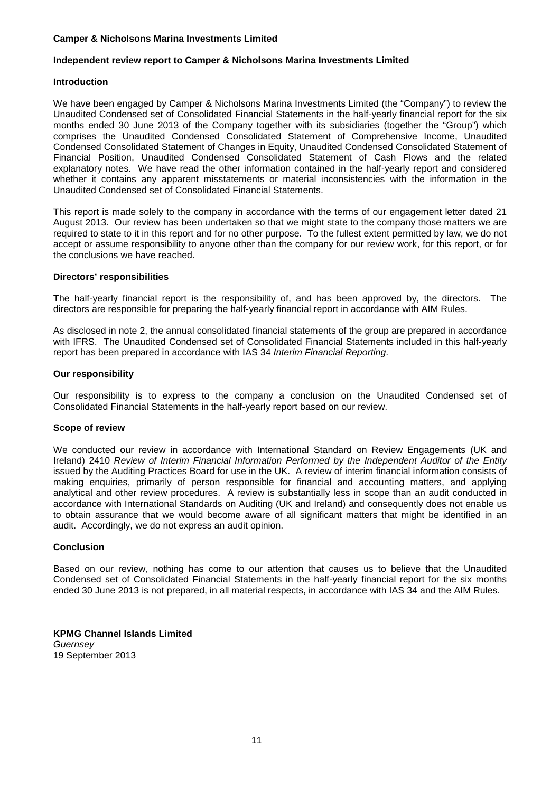# **Independent review report to Camper & Nicholsons Marina Investments Limited**

### **Introduction**

We have been engaged by Camper & Nicholsons Marina Investments Limited (the "Company") to review the Unaudited Condensed set of Consolidated Financial Statements in the half-yearly financial report for the six months ended 30 June 2013 of the Company together with its subsidiaries (together the "Group") which comprises the Unaudited Condensed Consolidated Statement of Comprehensive Income, Unaudited Condensed Consolidated Statement of Changes in Equity, Unaudited Condensed Consolidated Statement of Financial Position, Unaudited Condensed Consolidated Statement of Cash Flows and the related explanatory notes. We have read the other information contained in the half-yearly report and considered whether it contains any apparent misstatements or material inconsistencies with the information in the Unaudited Condensed set of Consolidated Financial Statements.

This report is made solely to the company in accordance with the terms of our engagement letter dated 21 August 2013. Our review has been undertaken so that we might state to the company those matters we are required to state to it in this report and for no other purpose. To the fullest extent permitted by law, we do not accept or assume responsibility to anyone other than the company for our review work, for this report, or for the conclusions we have reached.

### **Directors' responsibilities**

The half-yearly financial report is the responsibility of, and has been approved by, the directors. The directors are responsible for preparing the half-yearly financial report in accordance with AIM Rules.

As disclosed in note 2, the annual consolidated financial statements of the group are prepared in accordance with IFRS. The Unaudited Condensed set of Consolidated Financial Statements included in this half-yearly report has been prepared in accordance with IAS 34 *Interim Financial Reporting*.

# **Our responsibility**

Our responsibility is to express to the company a conclusion on the Unaudited Condensed set of Consolidated Financial Statements in the half-yearly report based on our review.

### **Scope of review**

We conducted our review in accordance with International Standard on Review Engagements (UK and Ireland) 2410 *Review of Interim Financial Information Performed by the Independent Auditor of the Entity* issued by the Auditing Practices Board for use in the UK. A review of interim financial information consists of making enquiries, primarily of person responsible for financial and accounting matters, and applying analytical and other review procedures. A review is substantially less in scope than an audit conducted in accordance with International Standards on Auditing (UK and Ireland) and consequently does not enable us to obtain assurance that we would become aware of all significant matters that might be identified in an audit. Accordingly, we do not express an audit opinion.

### **Conclusion**

Based on our review, nothing has come to our attention that causes us to believe that the Unaudited Condensed set of Consolidated Financial Statements in the half-yearly financial report for the six months ended 30 June 2013 is not prepared, in all material respects, in accordance with IAS 34 and the AIM Rules.

**KPMG Channel Islands Limited** *Guernsey* 19 September 2013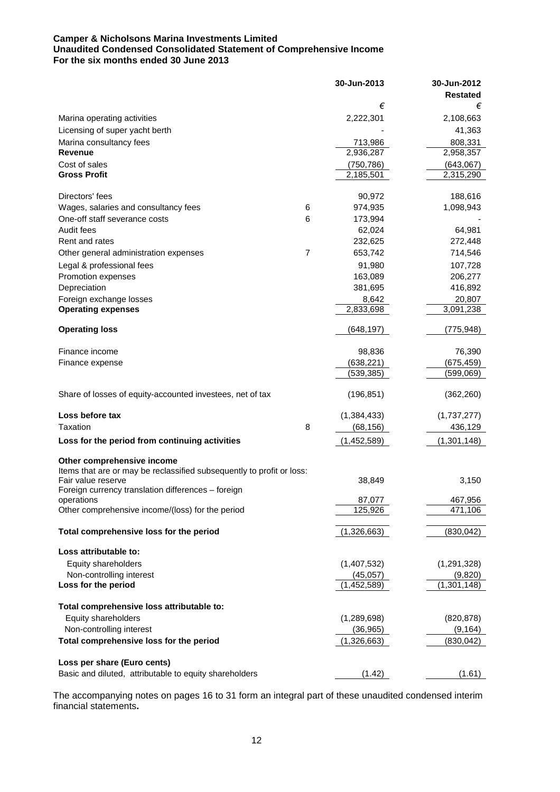# **Camper & Nicholsons Marina Investments Limited Unaudited Condensed Consolidated Statement of Comprehensive Income For the six months ended 30 June 2013**

|                                                                       |   | 30-Jun-2013              | 30-Jun-2012            |
|-----------------------------------------------------------------------|---|--------------------------|------------------------|
|                                                                       |   |                          | <b>Restated</b>        |
|                                                                       |   | €                        | €                      |
| Marina operating activities                                           |   | 2,222,301                | 2,108,663              |
| Licensing of super yacht berth                                        |   |                          | 41,363                 |
| Marina consultancy fees                                               |   | 713,986                  | 808,331                |
| <b>Revenue</b>                                                        |   | 2,936,287                | 2,958,357              |
| Cost of sales                                                         |   | (750, 786)               | (643,067)              |
| <b>Gross Profit</b>                                                   |   | 2,185,501                | 2,315,290              |
| Directors' fees                                                       |   | 90,972                   | 188,616                |
| Wages, salaries and consultancy fees                                  | 6 | 974,935                  | 1,098,943              |
| One-off staff severance costs                                         | 6 | 173,994                  |                        |
| Audit fees                                                            |   | 62,024                   | 64,981                 |
| Rent and rates                                                        |   | 232,625                  | 272,448                |
| Other general administration expenses                                 | 7 | 653,742                  | 714,546                |
| Legal & professional fees                                             |   | 91,980                   | 107,728                |
| Promotion expenses                                                    |   | 163,089                  | 206,277                |
| Depreciation                                                          |   | 381,695                  | 416,892                |
| Foreign exchange losses                                               |   | 8,642                    | 20,807                 |
| <b>Operating expenses</b>                                             |   | 2,833,698                | 3,091,238              |
|                                                                       |   |                          |                        |
| <b>Operating loss</b>                                                 |   | (648,197)                | (775,948)              |
| Finance income                                                        |   | 98,836                   | 76,390                 |
| Finance expense                                                       |   | (638, 221)               | (675, 459)             |
|                                                                       |   | (539,385)                | (599,069)              |
| Share of losses of equity-accounted investees, net of tax             |   | (196, 851)               | (362, 260)             |
|                                                                       |   |                          |                        |
| Loss before tax                                                       |   | (1, 384, 433)            | (1,737,277)            |
| Taxation                                                              | 8 | (68, 156)                | 436,129                |
| Loss for the period from continuing activities                        |   | (1,452,589)              | (1, 301, 148)          |
| Other comprehensive income                                            |   |                          |                        |
| Items that are or may be reclassified subsequently to profit or loss: |   |                          |                        |
| Fair value reserve                                                    |   | 38,849                   | 3,150                  |
| Foreign currency translation differences - foreign                    |   |                          |                        |
| operations<br>Other comprehensive income/(loss) for the period        |   | 87,077<br>125,926        | 467,956<br>471,106     |
|                                                                       |   |                          |                        |
| Total comprehensive loss for the period                               |   | (1,326,663)              | (830, 042)             |
| Loss attributable to:                                                 |   |                          |                        |
| Equity shareholders                                                   |   | (1,407,532)              | (1, 291, 328)          |
| Non-controlling interest                                              |   | (45, 057)                | (9,820)                |
| Loss for the period                                                   |   | (1,452,589)              | (1,301,148)            |
|                                                                       |   |                          |                        |
| Total comprehensive loss attributable to:                             |   |                          |                        |
| Equity shareholders<br>Non-controlling interest                       |   | (1,289,698)              | (820, 878)             |
| Total comprehensive loss for the period                               |   | (36, 965)<br>(1,326,663) | (9, 164)<br>(830, 042) |
|                                                                       |   |                          |                        |
| Loss per share (Euro cents)                                           |   |                          |                        |
| Basic and diluted, attributable to equity shareholders                |   | (1.42)                   | (1.61)                 |

The accompanying notes on pages 16 to 31 form an integral part of these unaudited condensed interim financial statements**.**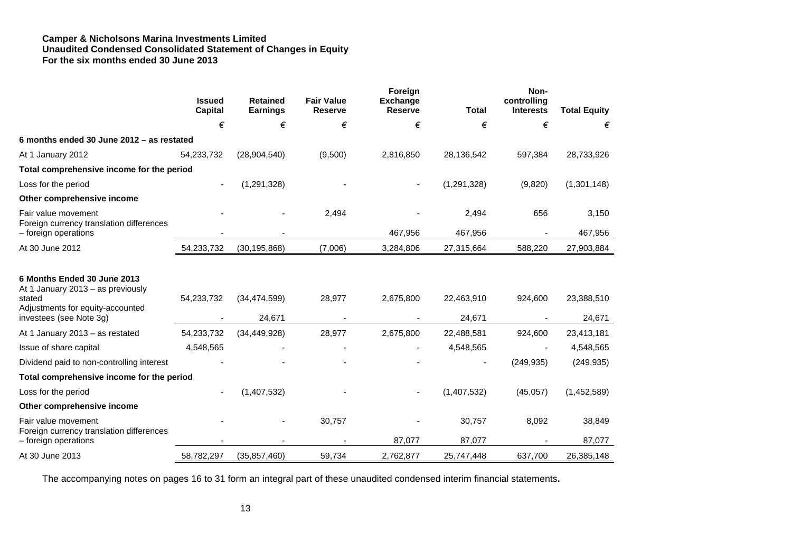### **Camper & Nicholsons Marina Investments Limited Unaudited Condensed Consolidated Statement of Changes in Equity For the six months ended 30 June 2013**

|                                                                                                                                           | <b>Issued</b><br><b>Capital</b> | <b>Retained</b><br><b>Earnings</b> | <b>Fair Value</b><br><b>Reserve</b> | Foreign<br><b>Exchange</b><br><b>Reserve</b> | <b>Total</b>         | Non-<br>controlling<br><b>Interests</b> | <b>Total Equity</b>  |
|-------------------------------------------------------------------------------------------------------------------------------------------|---------------------------------|------------------------------------|-------------------------------------|----------------------------------------------|----------------------|-----------------------------------------|----------------------|
|                                                                                                                                           | €                               | €                                  | €                                   | €                                            | €                    | €                                       | €                    |
| 6 months ended 30 June 2012 - as restated                                                                                                 |                                 |                                    |                                     |                                              |                      |                                         |                      |
| At 1 January 2012                                                                                                                         | 54,233,732                      | (28, 904, 540)                     | (9,500)                             | 2,816,850                                    | 28,136,542           | 597,384                                 | 28,733,926           |
| Total comprehensive income for the period                                                                                                 |                                 |                                    |                                     |                                              |                      |                                         |                      |
| Loss for the period                                                                                                                       |                                 | (1, 291, 328)                      |                                     |                                              | (1, 291, 328)        | (9,820)                                 | (1,301,148)          |
| Other comprehensive income                                                                                                                |                                 |                                    |                                     |                                              |                      |                                         |                      |
| Fair value movement                                                                                                                       |                                 |                                    | 2,494                               |                                              | 2,494                | 656                                     | 3,150                |
| Foreign currency translation differences<br>- foreign operations                                                                          |                                 |                                    |                                     | 467,956                                      | 467,956              |                                         | 467,956              |
| At 30 June 2012                                                                                                                           | 54,233,732                      | (30, 195, 868)                     | (7,006)                             | 3,284,806                                    | 27,315,664           | 588,220                                 | 27,903,884           |
| 6 Months Ended 30 June 2013<br>At 1 January 2013 - as previously<br>stated<br>Adjustments for equity-accounted<br>investees (see Note 3g) | 54,233,732                      | (34, 474, 599)<br>24,671           | 28,977                              | 2,675,800                                    | 22,463,910<br>24,671 | 924,600                                 | 23,388,510<br>24,671 |
| At 1 January 2013 - as restated                                                                                                           | 54,233,732                      | (34, 449, 928)                     | 28,977                              | 2,675,800                                    | 22,488,581           | 924,600                                 | 23,413,181           |
| Issue of share capital                                                                                                                    | 4,548,565                       |                                    |                                     |                                              | 4,548,565            |                                         | 4,548,565            |
| Dividend paid to non-controlling interest                                                                                                 |                                 |                                    |                                     |                                              |                      | (249, 935)                              | (249, 935)           |
| Total comprehensive income for the period                                                                                                 |                                 |                                    |                                     |                                              |                      |                                         |                      |
| Loss for the period                                                                                                                       |                                 | (1,407,532)                        |                                     |                                              | (1,407,532)          | (45,057)                                | (1,452,589)          |
| Other comprehensive income                                                                                                                |                                 |                                    |                                     |                                              |                      |                                         |                      |
| Fair value movement<br>Foreign currency translation differences                                                                           |                                 |                                    | 30,757                              |                                              | 30,757               | 8,092                                   | 38,849               |
| - foreign operations                                                                                                                      |                                 |                                    |                                     | 87,077                                       | 87,077               |                                         | 87,077               |
| At 30 June 2013                                                                                                                           | 58,782,297                      | (35, 857, 460)                     | 59,734                              | 2,762,877                                    | 25,747,448           | 637,700                                 | 26,385,148           |

The accompanying notes on pages 16 to 31 form an integral part of these unaudited condensed interim financial statements**.**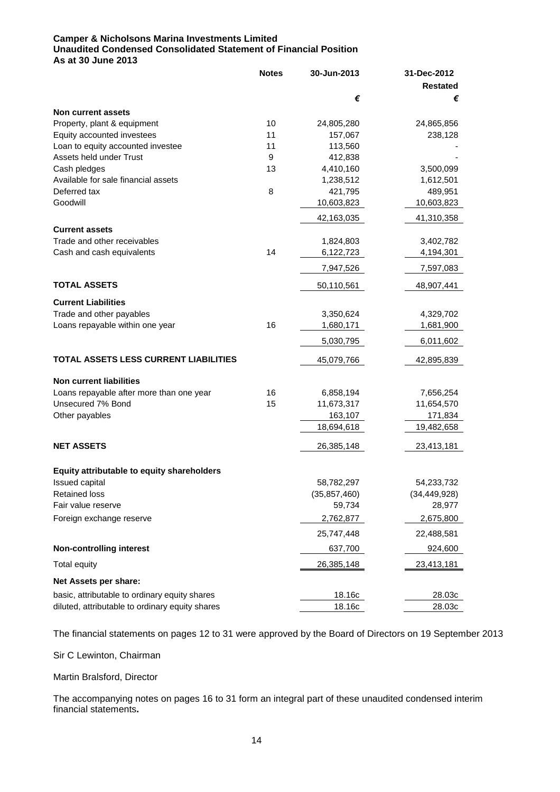# **Camper & Nicholsons Marina Investments Limited Unaudited Condensed Consolidated Statement of Financial Position As at 30 June 2013**

|                                                 | <b>Notes</b> | 30-Jun-2013    | 31-Dec-2012     |
|-------------------------------------------------|--------------|----------------|-----------------|
|                                                 |              |                | <b>Restated</b> |
|                                                 |              | €              | €               |
| Non current assets                              |              |                |                 |
| Property, plant & equipment                     | 10           | 24,805,280     | 24,865,856      |
| Equity accounted investees                      | 11           | 157,067        | 238,128         |
| Loan to equity accounted investee               | 11           | 113,560        |                 |
| Assets held under Trust                         | 9            | 412,838        |                 |
| Cash pledges                                    | 13           | 4,410,160      | 3,500,099       |
| Available for sale financial assets             |              | 1,238,512      | 1,612,501       |
| Deferred tax                                    | 8            | 421,795        | 489,951         |
| Goodwill                                        |              | 10,603,823     | 10,603,823      |
|                                                 |              | 42,163,035     | 41,310,358      |
| <b>Current assets</b>                           |              |                |                 |
| Trade and other receivables                     |              | 1,824,803      | 3,402,782       |
| Cash and cash equivalents                       | 14           | 6,122,723      | 4,194,301       |
|                                                 |              | 7,947,526      | 7,597,083       |
| <b>TOTAL ASSETS</b>                             |              | 50,110,561     | 48,907,441      |
| <b>Current Liabilities</b>                      |              |                |                 |
| Trade and other payables                        |              | 3,350,624      | 4,329,702       |
| Loans repayable within one year                 | 16           | 1,680,171      | 1,681,900       |
|                                                 |              | 5,030,795      | 6,011,602       |
| TOTAL ASSETS LESS CURRENT LIABILITIES           |              | 45,079,766     | 42,895,839      |
|                                                 |              |                |                 |
| <b>Non current liabilities</b>                  |              |                |                 |
| Loans repayable after more than one year        | 16           | 6,858,194      | 7,656,254       |
| Unsecured 7% Bond                               | 15           | 11,673,317     | 11,654,570      |
| Other payables                                  |              | 163,107        | 171,834         |
|                                                 |              | 18,694,618     | 19,482,658      |
| <b>NET ASSETS</b>                               |              | 26,385,148     | 23,413,181      |
|                                                 |              |                |                 |
| Equity attributable to equity shareholders      |              |                |                 |
| Issued capital                                  |              | 58,782,297     | 54,233,732      |
| <b>Retained loss</b>                            |              | (35, 857, 460) | (34, 449, 928)  |
| Fair value reserve                              |              | 59,734         | 28,977          |
| Foreign exchange reserve                        |              | 2,762,877      | 2,675,800       |
|                                                 |              | 25,747,448     | 22,488,581      |
| <b>Non-controlling interest</b>                 |              | 637,700        | 924,600         |
| <b>Total equity</b>                             |              | 26,385,148     | 23,413,181      |
| Net Assets per share:                           |              |                |                 |
| basic, attributable to ordinary equity shares   |              | 18.16c         | 28.03c          |
| diluted, attributable to ordinary equity shares |              | 18.16c         | 28.03c          |

The financial statements on pages 12 to 31 were approved by the Board of Directors on 19 September 2013

Sir C Lewinton, Chairman

Martin Bralsford, Director

The accompanying notes on pages 16 to 31 form an integral part of these unaudited condensed interim financial statements**.**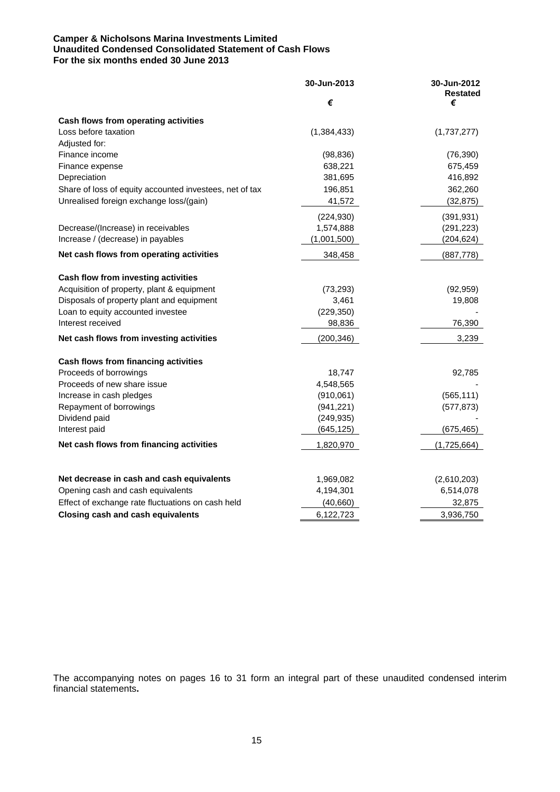### **Camper & Nicholsons Marina Investments Limited Unaudited Condensed Consolidated Statement of Cash Flows For the six months ended 30 June 2013**

|                                                         | 30-Jun-2013   | 30-Jun-2012<br><b>Restated</b> |
|---------------------------------------------------------|---------------|--------------------------------|
|                                                         | €             | €                              |
| Cash flows from operating activities                    |               |                                |
| Loss before taxation                                    | (1, 384, 433) | (1,737,277)                    |
| Adjusted for:                                           |               |                                |
| Finance income                                          | (98, 836)     | (76, 390)                      |
| Finance expense                                         | 638,221       | 675,459                        |
| Depreciation                                            | 381,695       | 416,892                        |
| Share of loss of equity accounted investees, net of tax | 196,851       | 362,260                        |
| Unrealised foreign exchange loss/(gain)                 | 41,572        | (32, 875)                      |
|                                                         | (224, 930)    | (391, 931)                     |
| Decrease/(Increase) in receivables                      | 1,574,888     | (291, 223)                     |
| Increase / (decrease) in payables                       | (1,001,500)   | (204, 624)                     |
| Net cash flows from operating activities                | 348,458       | (887, 778)                     |
| Cash flow from investing activities                     |               |                                |
| Acquisition of property, plant & equipment              | (73, 293)     | (92, 959)                      |
| Disposals of property plant and equipment               | 3,461         | 19,808                         |
| Loan to equity accounted investee                       | (229, 350)    |                                |
| Interest received                                       | 98,836        | 76,390                         |
| Net cash flows from investing activities                | (200, 346)    | 3,239                          |
| Cash flows from financing activities                    |               |                                |
| Proceeds of borrowings                                  | 18,747        | 92,785                         |
| Proceeds of new share issue                             | 4,548,565     |                                |
| Increase in cash pledges                                | (910, 061)    | (565, 111)                     |
| Repayment of borrowings                                 | (941, 221)    | (577, 873)                     |
| Dividend paid                                           | (249, 935)    |                                |
| Interest paid                                           | (645, 125)    | (675, 465)                     |
| Net cash flows from financing activities                | 1,820,970     | (1,725,664)                    |
|                                                         |               |                                |
| Net decrease in cash and cash equivalents               | 1,969,082     | (2,610,203)                    |
| Opening cash and cash equivalents                       | 4,194,301     | 6,514,078                      |
| Effect of exchange rate fluctuations on cash held       | (40, 660)     | 32,875                         |
| <b>Closing cash and cash equivalents</b>                | 6,122,723     | 3,936,750                      |

The accompanying notes on pages 16 to 31 form an integral part of these unaudited condensed interim financial statements**.**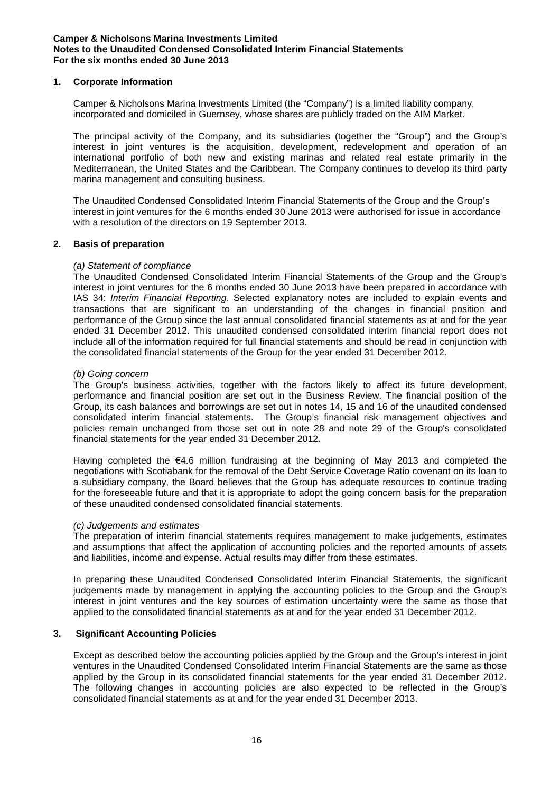# **1. Corporate Information**

Camper & Nicholsons Marina Investments Limited (the "Company") is a limited liability company, incorporated and domiciled in Guernsey, whose shares are publicly traded on the AIM Market.

The principal activity of the Company, and its subsidiaries (together the "Group") and the Group's interest in joint ventures is the acquisition, development, redevelopment and operation of an international portfolio of both new and existing marinas and related real estate primarily in the Mediterranean, the United States and the Caribbean. The Company continues to develop its third party marina management and consulting business.

The Unaudited Condensed Consolidated Interim Financial Statements of the Group and the Group's interest in joint ventures for the 6 months ended 30 June 2013 were authorised for issue in accordance with a resolution of the directors on 19 September 2013.

# **2. Basis of preparation**

# *(a) Statement of compliance*

The Unaudited Condensed Consolidated Interim Financial Statements of the Group and the Group's interest in joint ventures for the 6 months ended 30 June 2013 have been prepared in accordance with IAS 34: *Interim Financial Reporting*. Selected explanatory notes are included to explain events and transactions that are significant to an understanding of the changes in financial position and performance of the Group since the last annual consolidated financial statements as at and for the year ended 31 December 2012. This unaudited condensed consolidated interim financial report does not include all of the information required for full financial statements and should be read in conjunction with the consolidated financial statements of the Group for the year ended 31 December 2012.

### *(b) Going concern*

The Group's business activities, together with the factors likely to affect its future development, performance and financial position are set out in the Business Review. The financial position of the Group, its cash balances and borrowings are set out in notes 14, 15 and 16 of the unaudited condensed consolidated interim financial statements. The Group's financial risk management objectives and policies remain unchanged from those set out in note 28 and note 29 of the Group's consolidated financial statements for the year ended 31 December 2012.

Having completed the €4.6 million fundraising at the beginning of May 2013 and completed the negotiations with Scotiabank for the removal of the Debt Service Coverage Ratio covenant on its loan to a subsidiary company, the Board believes that the Group has adequate resources to continue trading for the foreseeable future and that it is appropriate to adopt the going concern basis for the preparation of these unaudited condensed consolidated financial statements.

### *(c) Judgements and estimates*

The preparation of interim financial statements requires management to make judgements, estimates and assumptions that affect the application of accounting policies and the reported amounts of assets and liabilities, income and expense. Actual results may differ from these estimates.

In preparing these Unaudited Condensed Consolidated Interim Financial Statements, the significant judgements made by management in applying the accounting policies to the Group and the Group's interest in joint ventures and the key sources of estimation uncertainty were the same as those that applied to the consolidated financial statements as at and for the year ended 31 December 2012.

# **3. Significant Accounting Policies**

Except as described below the accounting policies applied by the Group and the Group's interest in joint ventures in the Unaudited Condensed Consolidated Interim Financial Statements are the same as those applied by the Group in its consolidated financial statements for the year ended 31 December 2012. The following changes in accounting policies are also expected to be reflected in the Group's consolidated financial statements as at and for the year ended 31 December 2013.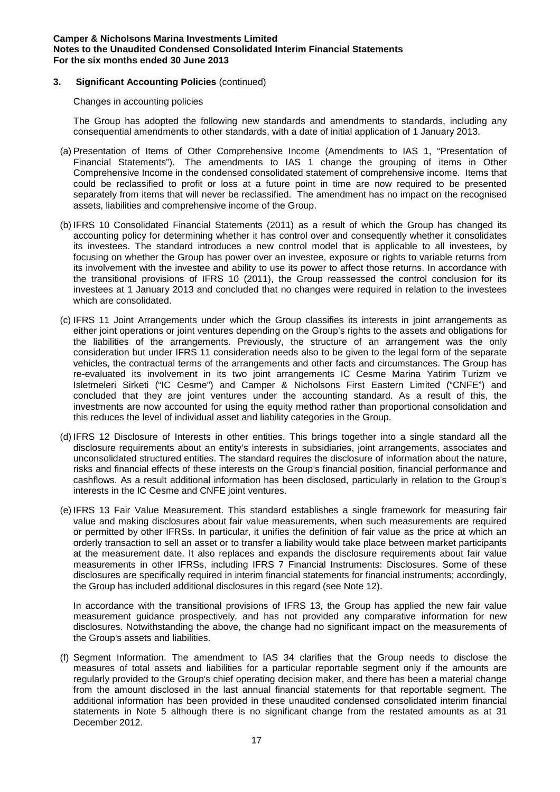# **3. Significant Accounting Policies** (continued)

Changes in accounting policies

The Group has adopted the following new standards and amendments to standards, including any consequential amendments to other standards, with a date of initial application of 1 January 2013.

- (a) Presentation of Items of Other Comprehensive Income (Amendments to IAS 1, "Presentation of Financial Statements"). The amendments to IAS 1 change the grouping of items in Other Comprehensive Income in the condensed consolidated statement of comprehensive income. Items that could be reclassified to profit or loss at a future point in time are now required to be presented separately from items that will never be reclassified. The amendment has no impact on the recognised assets, liabilities and comprehensive income of the Group.
- (b) IFRS 10 Consolidated Financial Statements (2011) as a result of which the Group has changed its accounting policy for determining whether it has control over and consequently whether it consolidates its investees. The standard introduces a new control model that is applicable to all investees, by focusing on whether the Group has power over an investee, exposure or rights to variable returns from its involvement with the investee and ability to use its power to affect those returns. In accordance with the transitional provisions of IFRS 10 (2011), the Group reassessed the control conclusion for its investees at 1 January 2013 and concluded that no changes were required in relation to the investees which are consolidated.
- (c) IFRS 11 Joint Arrangements under which the Group classifies its interests in joint arrangements as either joint operations or joint ventures depending on the Group's rights to the assets and obligations for the liabilities of the arrangements. Previously, the structure of an arrangement was the only consideration but under IFRS 11 consideration needs also to be given to the legal form of the separate vehicles, the contractual terms of the arrangements and other facts and circumstances. The Group has re-evaluated its involvement in its two joint arrangements IC Cesme Marina Yatirim Turizm ve Isletmeleri Sirketi ("IC Cesme") and Camper & Nicholsons First Eastern Limited ("CNFE") and concluded that they are joint ventures under the accounting standard. As a result of this, the investments are now accounted for using the equity method rather than proportional consolidation and this reduces the level of individual asset and liability categories in the Group.
- (d) IFRS 12 Disclosure of Interests in other entities. This brings together into a single standard all the disclosure requirements about an entity's interests in subsidiaries, joint arrangements, associates and unconsolidated structured entities. The standard requires the disclosure of information about the nature, risks and financial effects of these interests on the Group's financial position, financial performance and cashflows. As a result additional information has been disclosed, particularly in relation to the Group's interests in the IC Cesme and CNFE joint ventures.
- (e) IFRS 13 Fair Value Measurement. This standard establishes a single framework for measuring fair value and making disclosures about fair value measurements, when such measurements are required or permitted by other IFRSs. In particular, it unifies the definition of fair value as the price at which an orderly transaction to sell an asset or to transfer a liability would take place between market participants at the measurement date. It also replaces and expands the disclosure requirements about fair value measurements in other IFRSs, including IFRS 7 Financial Instruments: Disclosures. Some of these disclosures are specifically required in interim financial statements for financial instruments; accordingly, the Group has included additional disclosures in this regard (see Note 12).

In accordance with the transitional provisions of IFRS 13, the Group has applied the new fair value measurement guidance prospectively, and has not provided any comparative information for new disclosures. Notwithstanding the above, the change had no significant impact on the measurements of the Group's assets and liabilities.

(f) Segment Information. The amendment to IAS 34 clarifies that the Group needs to disclose the measures of total assets and liabilities for a particular reportable segment only if the amounts are regularly provided to the Group's chief operating decision maker, and there has been a material change from the amount disclosed in the last annual financial statements for that reportable segment. The additional information has been provided in these unaudited condensed consolidated interim financial statements in Note 5 although there is no significant change from the restated amounts as at 31 December 2012.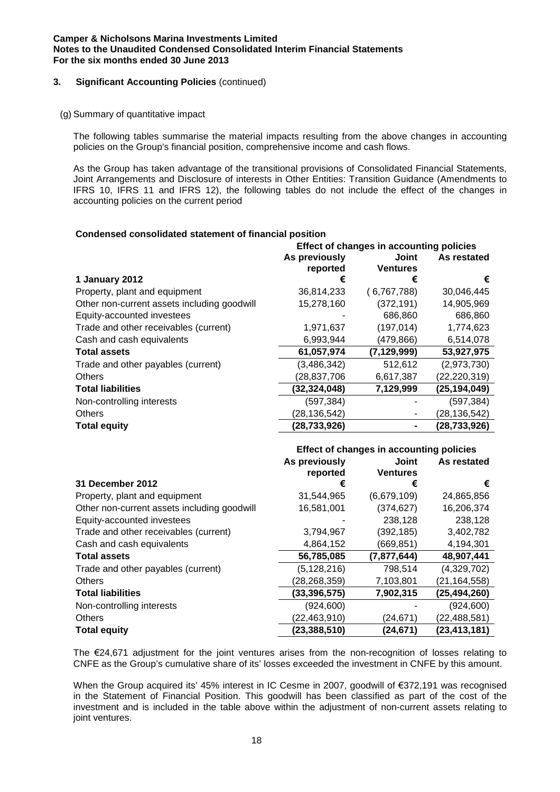# **3. Significant Accounting Policies** (continued)

(g) Summary of quantitative impact

The following tables summarise the material impacts resulting from the above changes in accounting policies on the Group's financial position, comprehensive income and cash flows.

As the Group has taken advantage of the transitional provisions of Consolidated Financial Statements, Joint Arrangements and Disclosure of interests in Other Entities: Transition Guidance (Amendments to IFRS 10, IFRS 11 and IFRS 12), the following tables do not include the effect of the changes in accounting policies on the current period

# **Condensed consolidated statement of financial position**

|                                             | Effect of changes in accounting policies |                 |                |  |
|---------------------------------------------|------------------------------------------|-----------------|----------------|--|
|                                             | As previously                            | Joint           | As restated    |  |
|                                             | reported                                 | <b>Ventures</b> |                |  |
| 1 January 2012                              | €                                        | €               | €              |  |
| Property, plant and equipment               | 36,814,233                               | (6,767,788)     | 30,046,445     |  |
| Other non-current assets including goodwill | 15,278,160                               | (372, 191)      | 14,905,969     |  |
| Equity-accounted investees                  |                                          | 686,860         | 686,860        |  |
| Trade and other receivables (current)       | 1,971,637                                | (197, 014)      | 1,774,623      |  |
| Cash and cash equivalents                   | 6,993,944                                | (479,866)       | 6,514,078      |  |
| <b>Total assets</b>                         | 61,057,974                               | (7, 129, 999)   | 53,927,975     |  |
| Trade and other payables (current)          | (3,486,342)                              | 512,612         | (2,973,730)    |  |
| <b>Others</b>                               | (28,837,706                              | 6,617,387       | (22, 220, 319) |  |
| <b>Total liabilities</b>                    | (32, 324, 048)                           | 7,129,999       | (25,194,049)   |  |
| Non-controlling interests                   | (597, 384)                               |                 | (597, 384)     |  |
| <b>Others</b>                               | (28, 136, 542)                           |                 | (28, 136, 542) |  |
| <b>Total equity</b>                         | (28, 733, 926)                           |                 | (28, 733, 926) |  |

|                                             | Effect of changes in accounting policies |                          |                |  |
|---------------------------------------------|------------------------------------------|--------------------------|----------------|--|
|                                             | As previously<br>reported                | Joint<br><b>Ventures</b> | As restated    |  |
| <b>31 December 2012</b>                     | €                                        | €                        | €              |  |
| Property, plant and equipment               | 31,544,965                               | (6,679,109)              | 24,865,856     |  |
| Other non-current assets including goodwill | 16,581,001                               | (374, 627)               | 16,206,374     |  |
| Equity-accounted investees                  |                                          | 238,128                  | 238,128        |  |
| Trade and other receivables (current)       | 3,794,967                                | (392, 185)               | 3,402,782      |  |
| Cash and cash equivalents                   | 4,864,152                                | (669, 851)               | 4,194,301      |  |
| <b>Total assets</b>                         | 56,785,085                               | (7, 877, 644)            | 48,907,441     |  |
| Trade and other payables (current)          | (5, 128, 216)                            | 798,514                  | (4,329,702)    |  |
| <b>Others</b>                               | (28, 268, 359)                           | 7,103,801                | (21, 164, 558) |  |
| <b>Total liabilities</b>                    | (33, 396, 575)                           | 7,902,315                | (25, 494, 260) |  |
| Non-controlling interests                   | (924, 600)                               |                          | (924, 600)     |  |
| <b>Others</b>                               | (22, 463, 910)                           | (24, 671)                | (22,488,581)   |  |
| <b>Total equity</b>                         | (23, 388, 510)                           | (24,671)                 | (23,413,181)   |  |

The €24,671 adjustment for the joint ventures arises from the non-recognition of losses relating to CNFE as the Group's cumulative share of its' losses exceeded the investment in CNFE by this amount.

When the Group acquired its' 45% interest in IC Cesme in 2007, goodwill of €372,191 was recognised in the Statement of Financial Position. This goodwill has been classified as part of the cost of the investment and is included in the table above within the adjustment of non-current assets relating to joint ventures.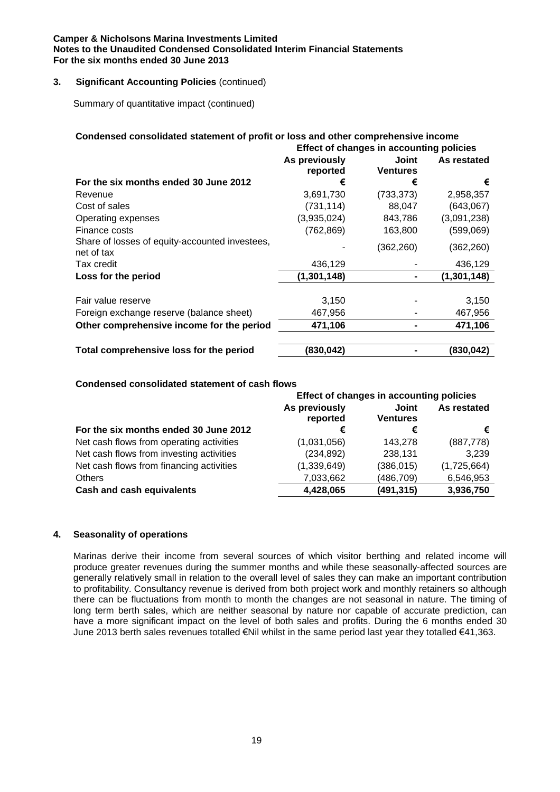# **3. Significant Accounting Policies** (continued)

Summary of quantitative impact (continued)

| Condensed consolidated statement of profit or loss and other comprehensive income<br>Effect of changes in accounting policies |                           |                          |             |  |
|-------------------------------------------------------------------------------------------------------------------------------|---------------------------|--------------------------|-------------|--|
|                                                                                                                               | As previously<br>reported | Joint<br><b>Ventures</b> | As restated |  |
| For the six months ended 30 June 2012                                                                                         | €                         | €                        | €           |  |
| Revenue                                                                                                                       | 3,691,730                 | (733, 373)               | 2,958,357   |  |
| Cost of sales                                                                                                                 | (731, 114)                | 88,047                   | (643,067)   |  |
| Operating expenses                                                                                                            | (3,935,024)               | 843,786                  | (3,091,238) |  |
| Finance costs                                                                                                                 | (762, 869)                | 163,800                  | (599,069)   |  |
| Share of losses of equity-accounted investees,<br>net of tax                                                                  |                           | (362,260)                | (362,260)   |  |
| Tax credit                                                                                                                    | 436,129                   |                          | 436,129     |  |
| Loss for the period                                                                                                           | (1, 301, 148)             |                          | (1,301,148) |  |
| Fair value reserve                                                                                                            | 3,150                     |                          | 3,150       |  |
| Foreign exchange reserve (balance sheet)                                                                                      | 467,956                   |                          | 467,956     |  |
| Other comprehensive income for the period                                                                                     | 471,106                   |                          | 471,106     |  |
| Total comprehensive loss for the period                                                                                       | (830,042)                 |                          | (830,042)   |  |

# **Condensed consolidated statement of cash flows**

|                                          | Effect of changes in accounting policies |                          |             |  |
|------------------------------------------|------------------------------------------|--------------------------|-------------|--|
|                                          | As previously<br>reported                | Joint<br><b>Ventures</b> | As restated |  |
| For the six months ended 30 June 2012    | €                                        | €                        | €           |  |
| Net cash flows from operating activities | (1,031,056)                              | 143.278                  | (887,778)   |  |
| Net cash flows from investing activities | (234, 892)                               | 238,131                  | 3,239       |  |
| Net cash flows from financing activities | (1,339,649)                              | (386, 015)               | (1,725,664) |  |
| <b>Others</b>                            | 7,033,662                                | (486, 709)               | 6,546,953   |  |
| <b>Cash and cash equivalents</b>         | 4,428,065                                | (491, 315)               | 3,936,750   |  |

# **4. Seasonality of operations**

Marinas derive their income from several sources of which visitor berthing and related income will produce greater revenues during the summer months and while these seasonally-affected sources are generally relatively small in relation to the overall level of sales they can make an important contribution to profitability. Consultancy revenue is derived from both project work and monthly retainers so although there can be fluctuations from month to month the changes are not seasonal in nature. The timing of long term berth sales, which are neither seasonal by nature nor capable of accurate prediction, can have a more significant impact on the level of both sales and profits. During the 6 months ended 30 June 2013 berth sales revenues totalled €Nil whilst in the same period last year they totalled €41,363.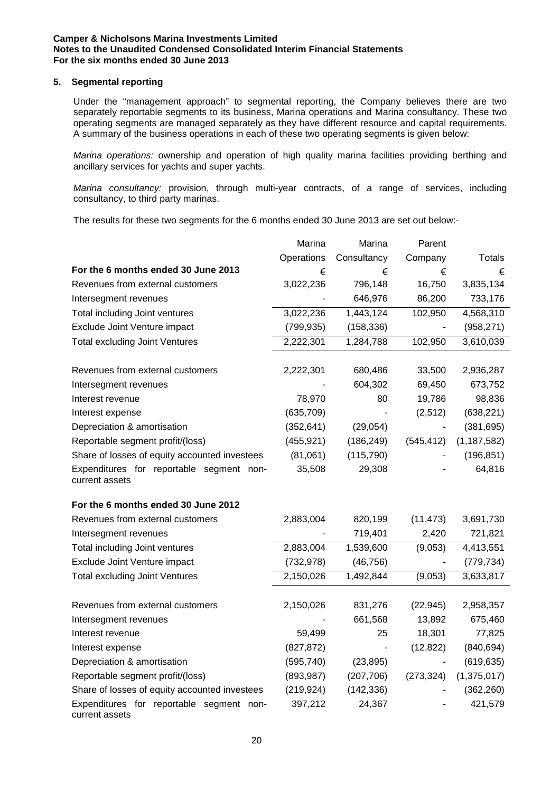### **5. Segmental reporting**

Under the "management approach" to segmental reporting, the Company believes there are two separately reportable segments to its business, Marina operations and Marina consultancy. These two operating segments are managed separately as they have different resource and capital requirements. A summary of the business operations in each of these two operating segments is given below:

*Marina operations:* ownership and operation of high quality marina facilities providing berthing and ancillary services for yachts and super yachts.

*Marina consultancy:* provision, through multi-year contracts, of a range of services, including consultancy, to third party marinas.

The results for these two segments for the 6 months ended 30 June 2013 are set out below:-

|                                                            | Marina     | Marina         | Parent         |               |
|------------------------------------------------------------|------------|----------------|----------------|---------------|
|                                                            | Operations | Consultancy    | Company        | Totals        |
| For the 6 months ended 30 June 2013                        | €          | €              | €              | €             |
| Revenues from external customers                           | 3,022,236  | 796,148        | 16,750         | 3,835,134     |
| Intersegment revenues                                      |            | 646,976        | 86,200         | 733,176       |
| Total including Joint ventures                             | 3,022,236  | 1,443,124      | 102,950        | 4,568,310     |
| Exclude Joint Venture impact                               | (799, 935) | (158, 336)     | $\blacksquare$ | (958, 271)    |
| <b>Total excluding Joint Ventures</b>                      | 2,222,301  | 1,284,788      | 102,950        | 3,610,039     |
| Revenues from external customers                           | 2,222,301  | 680,486        | 33,500         | 2,936,287     |
| Intersegment revenues                                      |            | 604,302        | 69,450         | 673,752       |
| Interest revenue                                           | 78,970     | 80             | 19,786         | 98,836        |
| Interest expense                                           | (635, 709) |                | (2,512)        | (638, 221)    |
| Depreciation & amortisation                                | (352, 641) | (29, 054)      |                | (381, 695)    |
| Reportable segment profit/(loss)                           | (455, 921) | (186, 249)     | (545, 412)     | (1, 187, 582) |
| Share of losses of equity accounted investees              | (81,061)   | (115, 790)     |                | (196, 851)    |
| Expenditures for reportable segment non-<br>current assets | 35,508     | 29,308         |                | 64,816        |
| For the 6 months ended 30 June 2012                        |            |                |                |               |
| Revenues from external customers                           | 2,883,004  | 820,199        | (11, 473)      | 3,691,730     |
| Intersegment revenues                                      |            | 719,401        | 2,420          | 721,821       |
| Total including Joint ventures                             | 2,883,004  | 1,539,600      | (9,053)        | 4,413,551     |
| Exclude Joint Venture impact                               | (732, 978) | (46, 756)      | $\blacksquare$ | (779, 734)    |
| <b>Total excluding Joint Ventures</b>                      | 2,150,026  | 1,492,844      | (9,053)        | 3,633,817     |
| Revenues from external customers                           | 2,150,026  | 831,276        | (22, 945)      | 2,958,357     |
| Intersegment revenues                                      |            | 661,568        | 13,892         | 675,460       |
| Interest revenue                                           | 59,499     | 25             | 18,301         | 77,825        |
| Interest expense                                           | (827, 872) | $\blacksquare$ | (12, 822)      | (840, 694)    |
| Depreciation & amortisation                                | (595, 740) | (23, 895)      |                | (619, 635)    |
| Reportable segment profit/(loss)                           | (893, 987) | (207, 706)     | (273, 324)     | (1,375,017)   |
| Share of losses of equity accounted investees              | (219, 924) | (142, 336)     |                | (362, 260)    |
| Expenditures for reportable segment non-<br>current assets | 397,212    | 24,367         |                | 421,579       |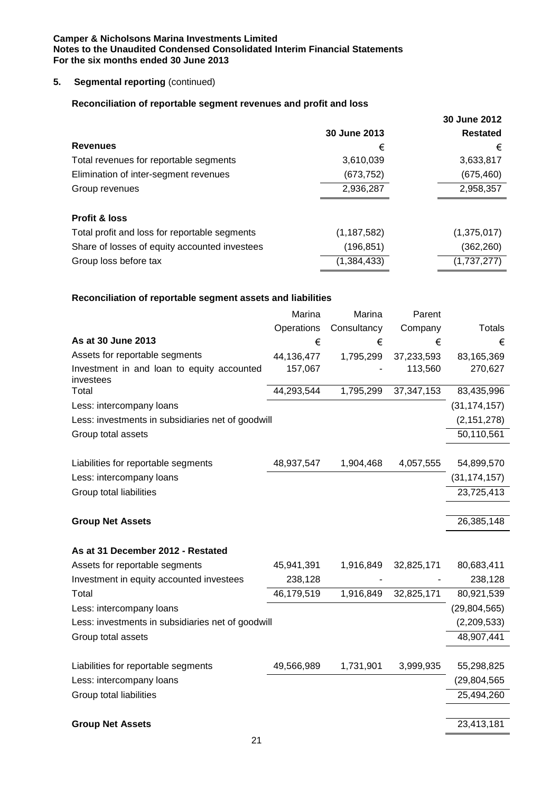# **5.** Segmental reporting (continued)

# **Reconciliation of reportable segment revenues and profit and loss**

|                                               |               | 30 June 2012    |
|-----------------------------------------------|---------------|-----------------|
|                                               | 30 June 2013  | <b>Restated</b> |
| <b>Revenues</b>                               | €             | €               |
| Total revenues for reportable segments        | 3,610,039     | 3,633,817       |
| Elimination of inter-segment revenues         | (673, 752)    | (675, 460)      |
| Group revenues                                | 2,936,287     | 2,958,357       |
| <b>Profit &amp; loss</b>                      |               |                 |
|                                               |               |                 |
| Total profit and loss for reportable segments | (1, 187, 582) | (1,375,017)     |
| Share of losses of equity accounted investees | (196, 851)    | (362, 260)      |
| Group loss before tax                         | (1, 384, 433) | (1,737,277)     |

# **Reconciliation of reportable segment assets and liabilities**

|                                                         | Marina     | Marina      | Parent       |                |
|---------------------------------------------------------|------------|-------------|--------------|----------------|
|                                                         | Operations | Consultancy | Company      | Totals         |
| As at 30 June 2013                                      | €          | €           | €            | €              |
| Assets for reportable segments                          | 44,136,477 | 1,795,299   | 37,233,593   | 83,165,369     |
| Investment in and loan to equity accounted<br>investees | 157,067    |             | 113,560      | 270,627        |
| Total                                                   | 44,293,544 | 1,795,299   | 37, 347, 153 | 83,435,996     |
| Less: intercompany loans                                |            |             |              | (31, 174, 157) |
| Less: investments in subsidiaries net of goodwill       |            |             |              | (2, 151, 278)  |
| Group total assets                                      |            |             |              | 50,110,561     |
|                                                         |            |             |              |                |
| Liabilities for reportable segments                     | 48,937,547 | 1,904,468   | 4,057,555    | 54,899,570     |
| Less: intercompany loans                                |            |             |              | (31, 174, 157) |
| Group total liabilities                                 |            |             |              | 23,725,413     |
|                                                         |            |             |              |                |
| <b>Group Net Assets</b>                                 |            |             |              | 26,385,148     |
| As at 31 December 2012 - Restated                       |            |             |              |                |
| Assets for reportable segments                          | 45,941,391 | 1,916,849   | 32,825,171   | 80,683,411     |
| Investment in equity accounted investees                | 238,128    |             |              | 238,128        |
| Total                                                   | 46,179,519 | 1,916,849   | 32,825,171   | 80,921,539     |
| Less: intercompany loans                                |            |             |              | (29, 804, 565) |
| Less: investments in subsidiaries net of goodwill       |            |             |              | (2,209,533)    |
| Group total assets                                      |            |             |              | 48,907,441     |
|                                                         |            |             |              |                |
| Liabilities for reportable segments                     | 49,566,989 | 1,731,901   | 3,999,935    | 55,298,825     |
| Less: intercompany loans                                |            |             |              | (29,804,565    |
| Group total liabilities                                 |            |             |              | 25,494,260     |
|                                                         |            |             |              |                |
| <b>Group Net Assets</b>                                 |            |             |              | 23,413,181     |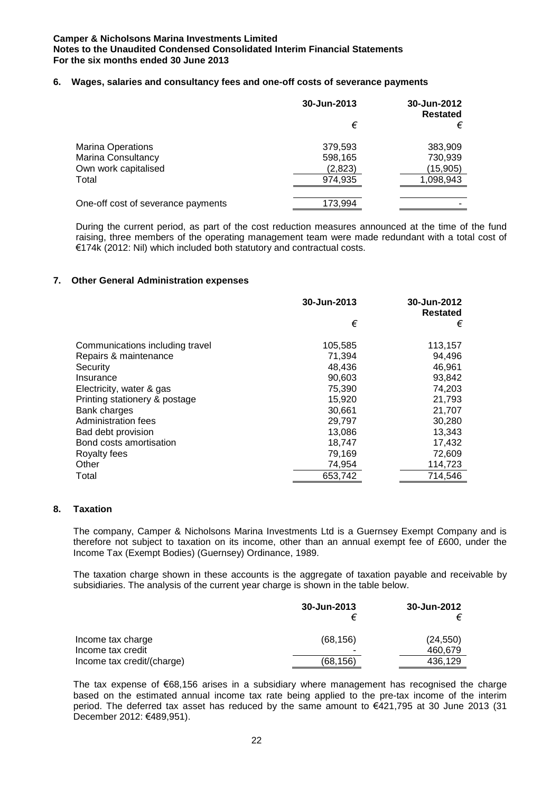### **6. Wages, salaries and consultancy fees and one-off costs of severance payments**

|                                    | 30-Jun-2013 | 30-Jun-2012<br><b>Restated</b> |
|------------------------------------|-------------|--------------------------------|
|                                    | €           | €                              |
| <b>Marina Operations</b>           | 379,593     | 383,909                        |
| Marina Consultancy                 | 598,165     | 730,939                        |
| Own work capitalised               | (2,823)     | (15,905)                       |
| Total                              | 974.935     | 1,098,943                      |
|                                    |             |                                |
| One-off cost of severance payments | 173,994     |                                |

During the current period, as part of the cost reduction measures announced at the time of the fund raising, three members of the operating management team were made redundant with a total cost of €174k (2012: Nil) which included both statutory and contractual costs.

# **7. Other General Administration expenses**

|                                 | 30-Jun-2013 | 30-Jun-2012<br><b>Restated</b> |
|---------------------------------|-------------|--------------------------------|
|                                 | €           | €                              |
| Communications including travel | 105,585     | 113,157                        |
| Repairs & maintenance           | 71.394      | 94,496                         |
| Security                        | 48,436      | 46,961                         |
| Insurance                       | 90,603      | 93,842                         |
| Electricity, water & gas        | 75,390      | 74,203                         |
| Printing stationery & postage   | 15.920      | 21,793                         |
| Bank charges                    | 30,661      | 21,707                         |
| Administration fees             | 29,797      | 30,280                         |
| Bad debt provision              | 13,086      | 13,343                         |
| Bond costs amortisation         | 18.747      | 17.432                         |
| Royalty fees                    | 79,169      | 72,609                         |
| Other                           | 74,954      | 114,723                        |
| Total                           | 653,742     | 714,546                        |

### **8. Taxation**

The company, Camper & Nicholsons Marina Investments Ltd is a Guernsey Exempt Company and is therefore not subject to taxation on its income, other than an annual exempt fee of £600, under the Income Tax (Exempt Bodies) (Guernsey) Ordinance, 1989.

The taxation charge shown in these accounts is the aggregate of taxation payable and receivable by subsidiaries. The analysis of the current year charge is shown in the table below.

|                            | 30-Jun-2013 | 30-Jun-2012 |
|----------------------------|-------------|-------------|
| Income tax charge          | (68, 156)   | (24, 550)   |
| Income tax credit          | -           | 460,679     |
| Income tax credit/(charge) | (68,156)    | 436.129     |

The tax expense of €68,156 arises in a subsidiary where management has recognised the charge based on the estimated annual income tax rate being applied to the pre-tax income of the interim period. The deferred tax asset has reduced by the same amount to €421,795 at 30 June 2013 (31 December 2012: €489,951).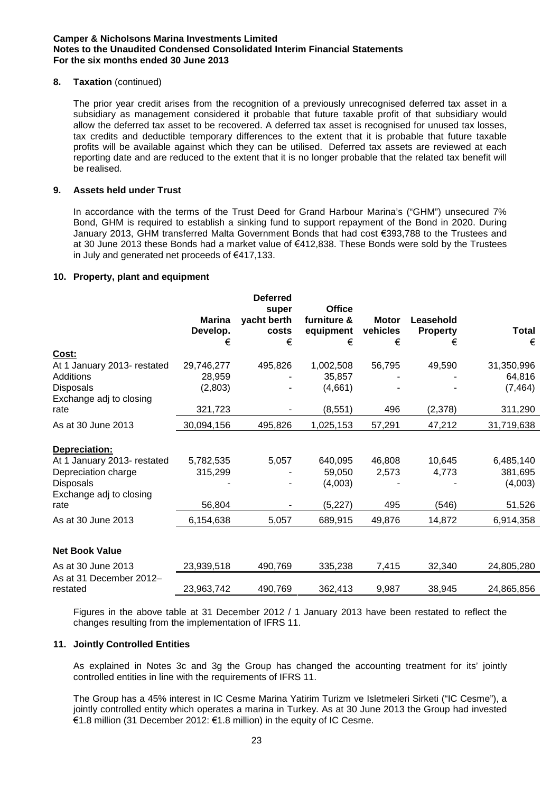# **8. Taxation** (continued)

The prior year credit arises from the recognition of a previously unrecognised deferred tax asset in a subsidiary as management considered it probable that future taxable profit of that subsidiary would allow the deferred tax asset to be recovered. A deferred tax asset is recognised for unused tax losses, tax credits and deductible temporary differences to the extent that it is probable that future taxable profits will be available against which they can be utilised. Deferred tax assets are reviewed at each reporting date and are reduced to the extent that it is no longer probable that the related tax benefit will be realised.

# **9. Assets held under Trust**

In accordance with the terms of the Trust Deed for Grand Harbour Marina's ("GHM") unsecured 7% Bond, GHM is required to establish a sinking fund to support repayment of the Bond in 2020. During January 2013, GHM transferred Malta Government Bonds that had cost €393,788 to the Trustees and at 30 June 2013 these Bonds had a market value of €412,838. These Bonds were sold by the Trustees in July and generated net proceeds of €417,133.

# **10. Property, plant and equipment**

|                                                                                                   | <b>Marina</b><br>Develop.<br>€  | <b>Deferred</b><br>super<br>yacht berth<br>costs<br>€ | <b>Office</b><br>furniture &<br>equipment<br>€ | <b>Motor</b><br>vehicles<br>€ | Leasehold<br><b>Property</b><br>€ | <b>Total</b><br>€                |
|---------------------------------------------------------------------------------------------------|---------------------------------|-------------------------------------------------------|------------------------------------------------|-------------------------------|-----------------------------------|----------------------------------|
|                                                                                                   |                                 |                                                       |                                                |                               |                                   |                                  |
| Cost:<br>At 1 January 2013- restated<br>Additions<br><b>Disposals</b>                             | 29,746,277<br>28,959<br>(2,803) | 495,826                                               | 1,002,508<br>35,857<br>(4,661)                 | 56,795                        | 49,590                            | 31,350,996<br>64,816<br>(7, 464) |
| Exchange adj to closing<br>rate                                                                   | 321,723                         |                                                       | (8, 551)                                       | 496                           | (2,378)                           | 311,290                          |
| As at 30 June 2013                                                                                | 30,094,156                      | 495,826                                               | 1,025,153                                      | 57,291                        | 47,212                            | 31,719,638                       |
| Depreciation:                                                                                     |                                 |                                                       |                                                |                               |                                   |                                  |
| At 1 January 2013- restated<br>Depreciation charge<br><b>Disposals</b><br>Exchange adj to closing | 5,782,535<br>315,299            | 5,057                                                 | 640,095<br>59,050<br>(4,003)                   | 46,808<br>2,573               | 10,645<br>4,773                   | 6,485,140<br>381,695<br>(4,003)  |
| rate                                                                                              | 56,804                          |                                                       | (5,227)                                        | 495                           | (546)                             | 51,526                           |
| As at 30 June 2013                                                                                | 6,154,638                       | 5,057                                                 | 689,915                                        | 49,876                        | 14,872                            | 6,914,358                        |
| <b>Net Book Value</b>                                                                             |                                 |                                                       |                                                |                               |                                   |                                  |
| As at 30 June 2013                                                                                | 23,939,518                      | 490,769                                               | 335,238                                        | 7,415                         | 32,340                            | 24,805,280                       |
| As at 31 December 2012-<br>restated                                                               | 23,963,742                      | 490,769                                               | 362,413                                        | 9,987                         | 38,945                            | 24,865,856                       |

Figures in the above table at 31 December 2012 / 1 January 2013 have been restated to reflect the changes resulting from the implementation of IFRS 11.

### **11. Jointly Controlled Entities**

As explained in Notes 3c and 3g the Group has changed the accounting treatment for its' jointly controlled entities in line with the requirements of IFRS 11.

The Group has a 45% interest in IC Cesme Marina Yatirim Turizm ve Isletmeleri Sirketi ("IC Cesme"), a jointly controlled entity which operates a marina in Turkey. As at 30 June 2013 the Group had invested €1.8 million (31 December 2012: €1.8 million) in the equity of IC Cesme.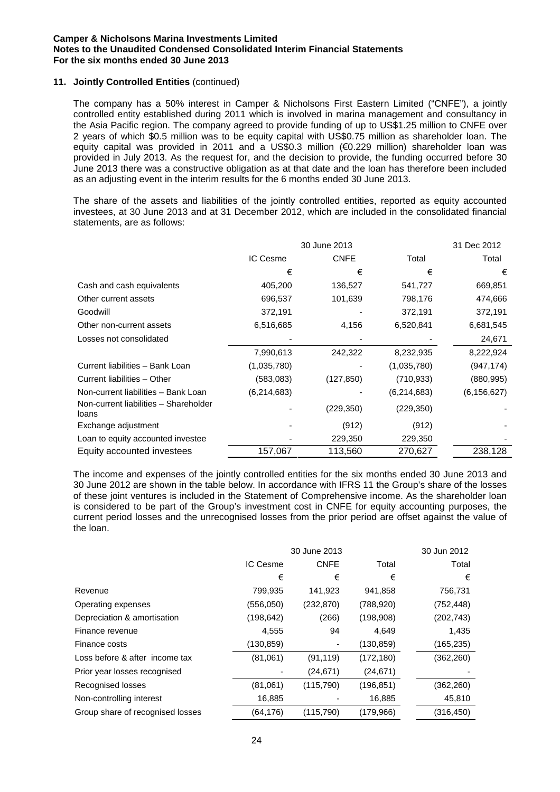# **11. Jointly Controlled Entities** (continued)

The company has a 50% interest in Camper & Nicholsons First Eastern Limited ("CNFE"), a jointly controlled entity established during 2011 which is involved in marina management and consultancy in the Asia Pacific region. The company agreed to provide funding of up to US\$1.25 million to CNFE over 2 years of which \$0.5 million was to be equity capital with US\$0.75 million as shareholder loan. The equity capital was provided in 2011 and a US\$0.3 million (€0.229 million) shareholder loan was provided in July 2013. As the request for, and the decision to provide, the funding occurred before 30 June 2013 there was a constructive obligation as at that date and the loan has therefore been included as an adjusting event in the interim results for the 6 months ended 30 June 2013.

The share of the assets and liabilities of the jointly controlled entities, reported as equity accounted investees, at 30 June 2013 and at 31 December 2012, which are included in the consolidated financial statements, are as follows:

|                                                |             | 30 June 2013 |             | 31 Dec 2012   |
|------------------------------------------------|-------------|--------------|-------------|---------------|
|                                                | IC Cesme    | <b>CNFE</b>  | Total       | Total         |
|                                                | €           | €            | €           | €             |
| Cash and cash equivalents                      | 405,200     | 136,527      | 541,727     | 669,851       |
| Other current assets                           | 696,537     | 101,639      | 798,176     | 474,666       |
| Goodwill                                       | 372,191     |              | 372,191     | 372,191       |
| Other non-current assets                       | 6,516,685   | 4,156        | 6,520,841   | 6,681,545     |
| Losses not consolidated                        |             |              |             | 24,671        |
|                                                | 7,990,613   | 242,322      | 8,232,935   | 8,222,924     |
| Current liabilities - Bank Loan                | (1,035,780) |              | (1,035,780) | (947, 174)    |
| Current liabilities - Other                    | (583,083)   | (127, 850)   | (710, 933)  | (880, 995)    |
| Non-current liabilities - Bank Loan            | (6,214,683) |              | (6,214,683) | (6, 156, 627) |
| Non-current liabilities - Shareholder<br>loans |             | (229, 350)   | (229, 350)  |               |
| Exchange adjustment                            |             | (912)        | (912)       |               |
| Loan to equity accounted investee              |             | 229,350      | 229,350     |               |
| Equity accounted investees                     | 157,067     | 113,560      | 270,627     | 238,128       |

The income and expenses of the jointly controlled entities for the six months ended 30 June 2013 and 30 June 2012 are shown in the table below. In accordance with IFRS 11 the Group's share of the losses of these joint ventures is included in the Statement of Comprehensive income. As the shareholder loan is considered to be part of the Group's investment cost in CNFE for equity accounting purposes, the current period losses and the unrecognised losses from the prior period are offset against the value of the loan.

|                                  |            | 30 June 2013 |            | 30 Jun 2012 |
|----------------------------------|------------|--------------|------------|-------------|
|                                  | IC Cesme   | <b>CNFE</b>  | Total      | Total       |
|                                  | €          | €            | €          | €           |
| Revenue                          | 799,935    | 141,923      | 941,858    | 756,731     |
| Operating expenses               | (556,050)  | (232, 870)   | (788, 920) | (752, 448)  |
| Depreciation & amortisation      | (198, 642) | (266)        | (198,908)  | (202, 743)  |
| Finance revenue                  | 4,555      | 94           | 4,649      | 1,435       |
| Finance costs                    | (130, 859) |              | (130, 859) | (165, 235)  |
| Loss before & after income tax   | (81,061)   | (91, 119)    | (172, 180) | (362, 260)  |
| Prior year losses recognised     |            | (24, 671)    | (24, 671)  |             |
| Recognised losses                | (81,061)   | (115,790)    | (196, 851) | (362, 260)  |
| Non-controlling interest         | 16,885     |              | 16,885     | 45,810      |
| Group share of recognised losses | (64, 176)  | (115, 790)   | (179,966)  | (316, 450)  |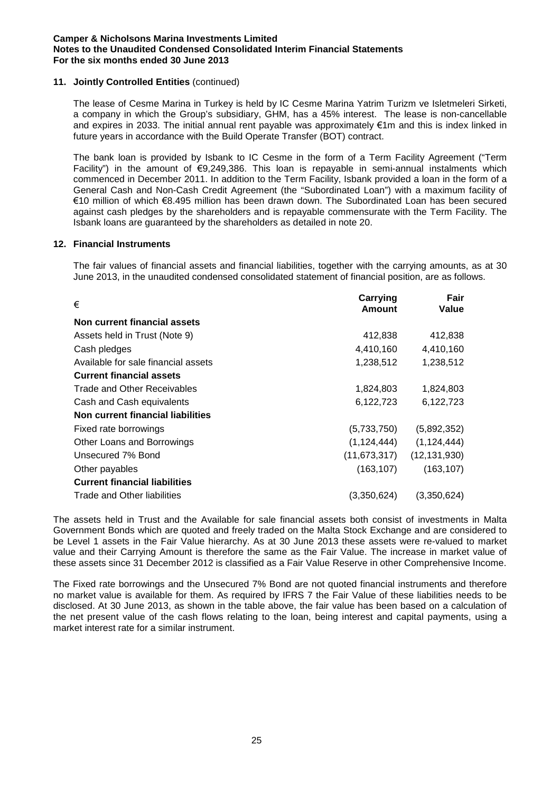# **11. Jointly Controlled Entities** (continued)

The lease of Cesme Marina in Turkey is held by IC Cesme Marina Yatrim Turizm ve Isletmeleri Sirketi, a company in which the Group's subsidiary, GHM, has a 45% interest. The lease is non-cancellable and expires in 2033. The initial annual rent payable was approximately €1m and this is index linked in future years in accordance with the Build Operate Transfer (BOT) contract.

The bank loan is provided by Isbank to IC Cesme in the form of a Term Facility Agreement ("Term Facility") in the amount of €9,249,386. This loan is repayable in semi-annual instalments which commenced in December 2011. In addition to the Term Facility, Isbank provided a loan in the form of a General Cash and Non-Cash Credit Agreement (the "Subordinated Loan") with a maximum facility of €10 million of which €8.495 million has been drawn down. The Subordinated Loan has been secured against cash pledges by the shareholders and is repayable commensurate with the Term Facility. The Isbank loans are guaranteed by the shareholders as detailed in note 20.

### **12. Financial Instruments**

The fair values of financial assets and financial liabilities, together with the carrying amounts, as at 30 June 2013, in the unaudited condensed consolidated statement of financial position, are as follows.

| €                                    | <b>Carrying</b><br>Amount | Fair<br>Value  |
|--------------------------------------|---------------------------|----------------|
| Non current financial assets         |                           |                |
| Assets held in Trust (Note 9)        | 412,838                   | 412,838        |
| Cash pledges                         | 4,410,160                 | 4,410,160      |
| Available for sale financial assets  | 1,238,512                 | 1,238,512      |
| <b>Current financial assets</b>      |                           |                |
| Trade and Other Receivables          | 1,824,803                 | 1,824,803      |
| Cash and Cash equivalents            | 6,122,723                 | 6,122,723      |
| Non current financial liabilities    |                           |                |
| Fixed rate borrowings                | (5,733,750)               | (5,892,352)    |
| Other Loans and Borrowings           | (1, 124, 444)             | (1, 124, 444)  |
| Unsecured 7% Bond                    | (11, 673, 317)            | (12, 131, 930) |
| Other payables                       | (163, 107)                | (163, 107)     |
| <b>Current financial liabilities</b> |                           |                |
| Trade and Other liabilities          | (3,350,624)               | (3.350.624)    |

The assets held in Trust and the Available for sale financial assets both consist of investments in Malta Government Bonds which are quoted and freely traded on the Malta Stock Exchange and are considered to be Level 1 assets in the Fair Value hierarchy. As at 30 June 2013 these assets were re-valued to market value and their Carrying Amount is therefore the same as the Fair Value. The increase in market value of these assets since 31 December 2012 is classified as a Fair Value Reserve in other Comprehensive Income.

The Fixed rate borrowings and the Unsecured 7% Bond are not quoted financial instruments and therefore no market value is available for them. As required by IFRS 7 the Fair Value of these liabilities needs to be disclosed. At 30 June 2013, as shown in the table above, the fair value has been based on a calculation of the net present value of the cash flows relating to the loan, being interest and capital payments, using a market interest rate for a similar instrument.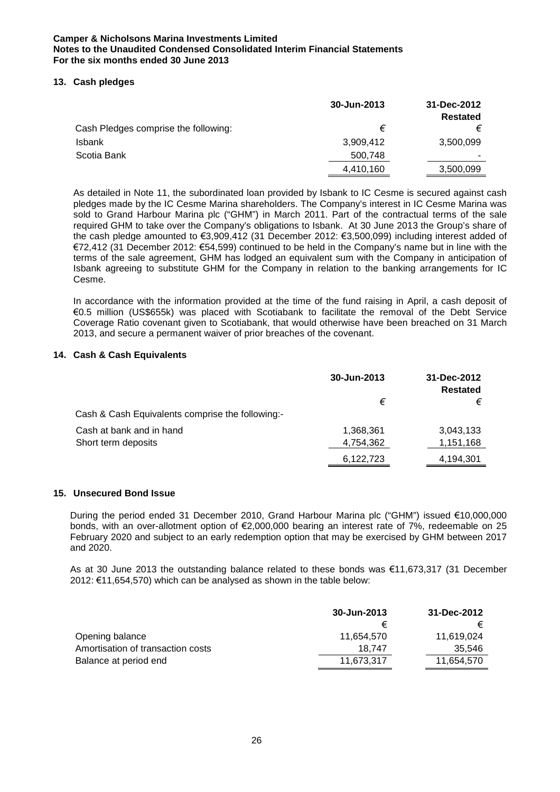# **13. Cash pledges**

|                                      | 30-Jun-2013 | 31-Dec-2012<br><b>Restated</b> |
|--------------------------------------|-------------|--------------------------------|
| Cash Pledges comprise the following: | €           | €                              |
| <b>Isbank</b>                        | 3,909,412   | 3,500,099                      |
| Scotia Bank                          | 500,748     | $\overline{\phantom{a}}$       |
|                                      | 4,410,160   | 3,500,099                      |

As detailed in Note 11, the subordinated loan provided by Isbank to IC Cesme is secured against cash pledges made by the IC Cesme Marina shareholders. The Company's interest in IC Cesme Marina was sold to Grand Harbour Marina plc ("GHM") in March 2011. Part of the contractual terms of the sale required GHM to take over the Company's obligations to Isbank. At 30 June 2013 the Group's share of the cash pledge amounted to €3,909,412 (31 December 2012: €3,500,099) including interest added of €72,412 (31 December 2012: €54,599) continued to be held in the Company's name but in line with the terms of the sale agreement, GHM has lodged an equivalent sum with the Company in anticipation of Isbank agreeing to substitute GHM for the Company in relation to the banking arrangements for IC Cesme.

In accordance with the information provided at the time of the fund raising in April, a cash deposit of €0.5 million (US\$655k) was placed with Scotiabank to facilitate the removal of the Debt Service Coverage Ratio covenant given to Scotiabank, that would otherwise have been breached on 31 March 2013, and secure a permanent waiver of prior breaches of the covenant.

# **14. Cash & Cash Equivalents**

|                                                  | 30-Jun-2013 | 31-Dec-2012<br><b>Restated</b> |
|--------------------------------------------------|-------------|--------------------------------|
|                                                  | €           | €                              |
| Cash & Cash Equivalents comprise the following:- |             |                                |
| Cash at bank and in hand                         | 1,368,361   | 3,043,133                      |
| Short term deposits                              | 4,754,362   | 1,151,168                      |
|                                                  | 6,122,723   | 4,194,301                      |

### **15. Unsecured Bond Issue**

During the period ended 31 December 2010, Grand Harbour Marina plc ("GHM") issued €10,000,000 bonds, with an over-allotment option of €2,000,000 bearing an interest rate of 7%, redeemable on 25 February 2020 and subject to an early redemption option that may be exercised by GHM between 2017 and 2020.

As at 30 June 2013 the outstanding balance related to these bonds was €11,673,317 (31 December 2012: €11,654,570) which can be analysed as shown in the table below:

|                                   | 30-Jun-2013 | 31-Dec-2012 |
|-----------------------------------|-------------|-------------|
|                                   |             |             |
| Opening balance                   | 11.654.570  | 11.619.024  |
| Amortisation of transaction costs | 18.747      | 35.546      |
| Balance at period end             | 11.673.317  | 11.654.570  |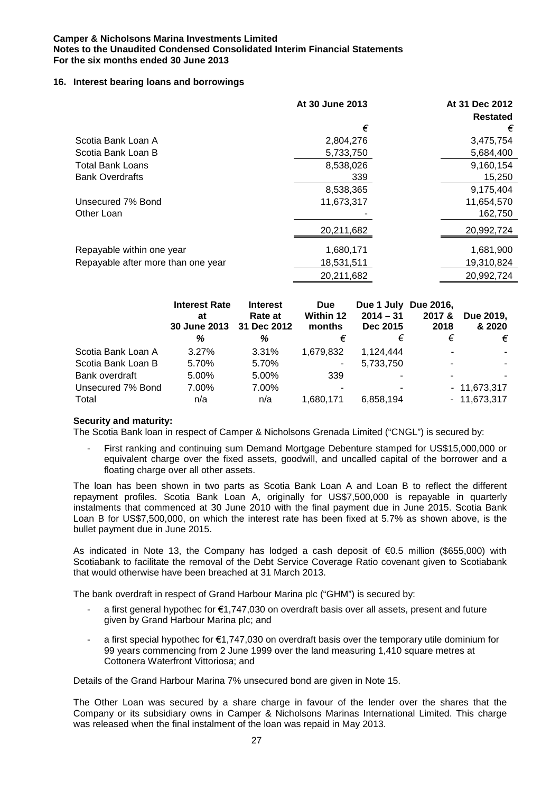# **16. Interest bearing loans and borrowings**

|                                    | At 30 June 2013 | At 31 Dec 2012  |
|------------------------------------|-----------------|-----------------|
|                                    |                 | <b>Restated</b> |
|                                    | €               | €               |
| Scotia Bank Loan A                 | 2,804,276       | 3,475,754       |
| Scotia Bank Loan B                 | 5,733,750       | 5,684,400       |
| <b>Total Bank Loans</b>            | 8,538,026       | 9,160,154       |
| <b>Bank Overdrafts</b>             | 339             | 15,250          |
|                                    | 8,538,365       | 9,175,404       |
| Unsecured 7% Bond                  | 11,673,317      | 11,654,570      |
| Other Loan                         |                 | 162,750         |
|                                    | 20,211,682      | 20,992,724      |
|                                    |                 |                 |
| Repayable within one year          | 1,680,171       | 1,681,900       |
| Repayable after more than one year | 18,531,511      | 19,310,824      |
|                                    | 20,211,682      | 20,992,724      |

|                    | <b>Interest Rate</b><br>at<br>30 June 2013 | <b>Interest</b><br>Rate at<br>31 Dec 2012 | <b>Due</b><br><b>Within 12</b><br>months | Due 1 July Due 2016,<br>$2014 - 31$<br>Dec 2015 | 2017 &<br>2018 | Due 2019,<br>& 2020 |
|--------------------|--------------------------------------------|-------------------------------------------|------------------------------------------|-------------------------------------------------|----------------|---------------------|
|                    | ℅                                          | %                                         | €                                        | €                                               | €              | €                   |
| Scotia Bank Loan A | 3.27%                                      | 3.31%                                     | 1,679,832                                | 1.124.444                                       |                | $\sim$              |
| Scotia Bank Loan B | 5.70%                                      | 5.70%                                     | ۰.                                       | 5,733,750                                       | ۰              |                     |
| Bank overdraft     | 5.00%                                      | 5.00%                                     | 339                                      |                                                 |                |                     |
| Unsecured 7% Bond  | 7.00%                                      | 7.00%                                     |                                          |                                                 |                | $-11,673,317$       |
| Total              | n/a                                        | n/a                                       | 1.680.171                                | 6,858,194                                       |                | $-11,673,317$       |

# **Security and maturity:**

The Scotia Bank loan in respect of Camper & Nicholsons Grenada Limited ("CNGL") is secured by:

- First ranking and continuing sum Demand Mortgage Debenture stamped for US\$15,000,000 or equivalent charge over the fixed assets, goodwill, and uncalled capital of the borrower and a floating charge over all other assets.

The loan has been shown in two parts as Scotia Bank Loan A and Loan B to reflect the different repayment profiles. Scotia Bank Loan A, originally for US\$7,500,000 is repayable in quarterly instalments that commenced at 30 June 2010 with the final payment due in June 2015. Scotia Bank Loan B for US\$7,500,000, on which the interest rate has been fixed at 5.7% as shown above, is the bullet payment due in June 2015.

As indicated in Note 13, the Company has lodged a cash deposit of €0.5 million (\$655,000) with Scotiabank to facilitate the removal of the Debt Service Coverage Ratio covenant given to Scotiabank that would otherwise have been breached at 31 March 2013.

The bank overdraft in respect of Grand Harbour Marina plc ("GHM") is secured by:

- a first general hypothec for €1,747,030 on overdraft basis over all assets, present and future given by Grand Harbour Marina plc; and
- a first special hypothec for  $\epsilon$ 1,747,030 on overdraft basis over the temporary utile dominium for 99 years commencing from 2 June 1999 over the land measuring 1,410 square metres at Cottonera Waterfront Vittoriosa; and

Details of the Grand Harbour Marina 7% unsecured bond are given in Note 15.

The Other Loan was secured by a share charge in favour of the lender over the shares that the Company or its subsidiary owns in Camper & Nicholsons Marinas International Limited. This charge was released when the final instalment of the loan was repaid in May 2013.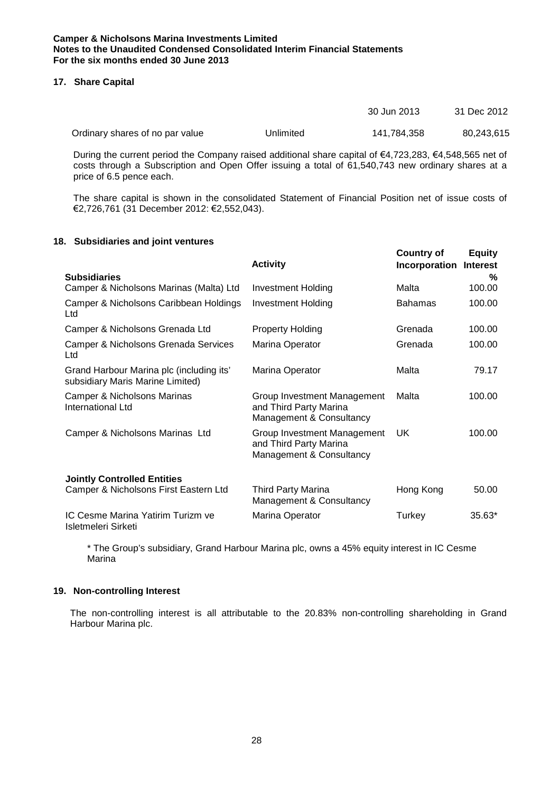# **17. Share Capital**

|                                 |           | 30 Jun 2013 | 31 Dec 2012 |
|---------------------------------|-----------|-------------|-------------|
| Ordinary shares of no par value | Unlimited | 141.784.358 | 80,243,615  |

During the current period the Company raised additional share capital of €4,723,283, €4,548,565 net of costs through a Subscription and Open Offer issuing a total of 61,540,743 new ordinary shares at a price of 6.5 pence each.

The share capital is shown in the consolidated Statement of Financial Position net of issue costs of €2,726,761 (31 December 2012: €2,552,043).

# **18. Subsidiaries and joint ventures**

|                                                                              | <b>Activity</b>                                                                   | <b>Country of</b><br>Incorporation | <b>Equity</b><br><b>Interest</b> |
|------------------------------------------------------------------------------|-----------------------------------------------------------------------------------|------------------------------------|----------------------------------|
| <b>Subsidiaries</b>                                                          |                                                                                   |                                    | %                                |
| Camper & Nicholsons Marinas (Malta) Ltd                                      | <b>Investment Holding</b>                                                         | Malta                              | 100.00                           |
| Camper & Nicholsons Caribbean Holdings<br>Ltd                                | <b>Investment Holding</b>                                                         | <b>Bahamas</b>                     | 100.00                           |
| Camper & Nicholsons Grenada Ltd                                              | <b>Property Holding</b>                                                           | Grenada                            | 100.00                           |
| Camper & Nicholsons Grenada Services<br>Ltd                                  | Marina Operator                                                                   | Grenada                            | 100.00                           |
| Grand Harbour Marina plc (including its'<br>subsidiary Maris Marine Limited) | Marina Operator                                                                   | Malta                              | 79.17                            |
| Camper & Nicholsons Marinas<br>International Ltd                             | Group Investment Management<br>and Third Party Marina<br>Management & Consultancy | Malta                              | 100.00                           |
| Camper & Nicholsons Marinas Ltd                                              | Group Investment Management<br>and Third Party Marina<br>Management & Consultancy | UK                                 | 100.00                           |
| <b>Jointly Controlled Entities</b>                                           |                                                                                   |                                    |                                  |
| Camper & Nicholsons First Eastern Ltd                                        | <b>Third Party Marina</b><br>Management & Consultancy                             | Hong Kong                          | 50.00                            |
| IC Cesme Marina Yatirim Turizm ve<br>Isletmeleri Sirketi                     | Marina Operator                                                                   | Turkey                             | $35.63*$                         |

\* The Group's subsidiary, Grand Harbour Marina plc, owns a 45% equity interest in IC Cesme Marina

### **19. Non-controlling Interest**

The non-controlling interest is all attributable to the 20.83% non-controlling shareholding in Grand Harbour Marina plc.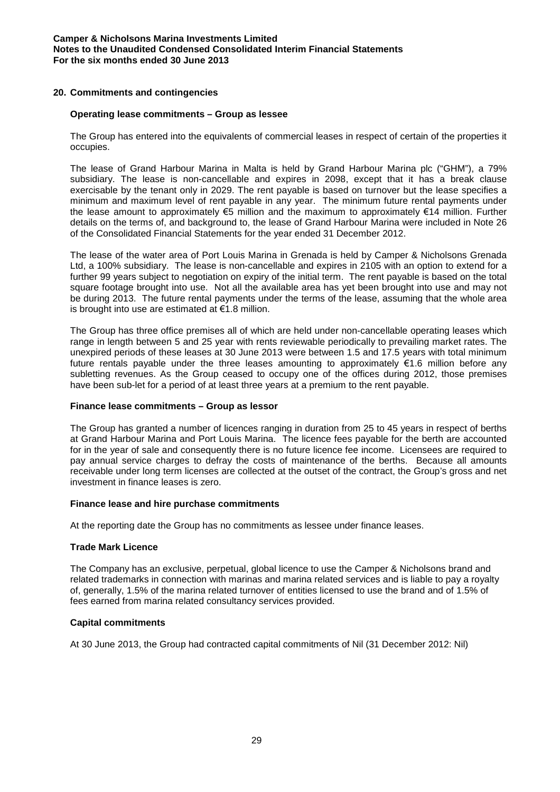# **20. Commitments and contingencies**

### **Operating lease commitments – Group as lessee**

The Group has entered into the equivalents of commercial leases in respect of certain of the properties it occupies.

The lease of Grand Harbour Marina in Malta is held by Grand Harbour Marina plc ("GHM"), a 79% subsidiary. The lease is non-cancellable and expires in 2098, except that it has a break clause exercisable by the tenant only in 2029. The rent payable is based on turnover but the lease specifies a minimum and maximum level of rent payable in any year. The minimum future rental payments under the lease amount to approximately €5 million and the maximum to approximately €14 million. Further details on the terms of, and background to, the lease of Grand Harbour Marina were included in Note 26 of the Consolidated Financial Statements for the year ended 31 December 2012.

The lease of the water area of Port Louis Marina in Grenada is held by Camper & Nicholsons Grenada Ltd, a 100% subsidiary. The lease is non-cancellable and expires in 2105 with an option to extend for a further 99 years subject to negotiation on expiry of the initial term. The rent payable is based on the total square footage brought into use. Not all the available area has yet been brought into use and may not be during 2013. The future rental payments under the terms of the lease, assuming that the whole area is brought into use are estimated at €1.8 million.

The Group has three office premises all of which are held under non-cancellable operating leases which range in length between 5 and 25 year with rents reviewable periodically to prevailing market rates. The unexpired periods of these leases at 30 June 2013 were between 1.5 and 17.5 years with total minimum future rentals payable under the three leases amounting to approximately €1.6 million before any subletting revenues. As the Group ceased to occupy one of the offices during 2012, those premises have been sub-let for a period of at least three years at a premium to the rent payable.

### **Finance lease commitments – Group as lessor**

The Group has granted a number of licences ranging in duration from 25 to 45 years in respect of berths at Grand Harbour Marina and Port Louis Marina. The licence fees payable for the berth are accounted for in the year of sale and consequently there is no future licence fee income. Licensees are required to pay annual service charges to defray the costs of maintenance of the berths. Because all amounts receivable under long term licenses are collected at the outset of the contract, the Group's gross and net investment in finance leases is zero.

### **Finance lease and hire purchase commitments**

At the reporting date the Group has no commitments as lessee under finance leases.

### **Trade Mark Licence**

The Company has an exclusive, perpetual, global licence to use the Camper & Nicholsons brand and related trademarks in connection with marinas and marina related services and is liable to pay a royalty of, generally, 1.5% of the marina related turnover of entities licensed to use the brand and of 1.5% of fees earned from marina related consultancy services provided.

### **Capital commitments**

At 30 June 2013, the Group had contracted capital commitments of Nil (31 December 2012: Nil)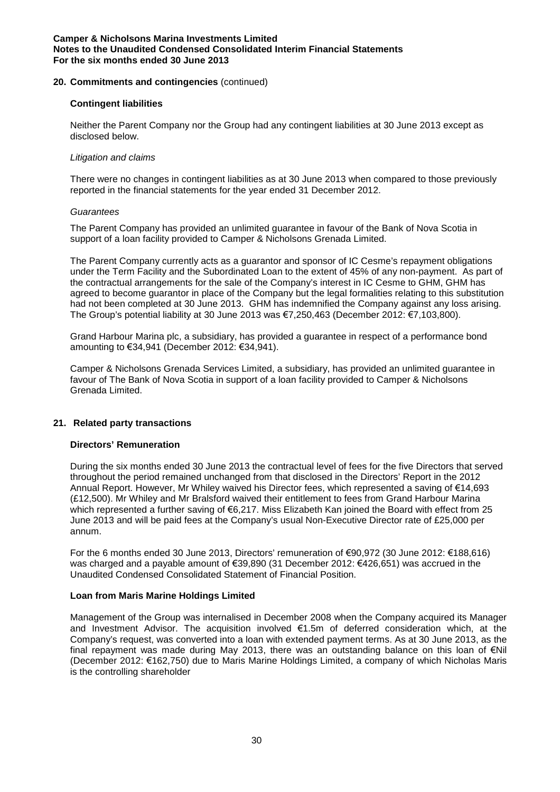# **20. Commitments and contingencies** (continued)

### **Contingent liabilities**

Neither the Parent Company nor the Group had any contingent liabilities at 30 June 2013 except as disclosed below.

### *Litigation and claims*

There were no changes in contingent liabilities as at 30 June 2013 when compared to those previously reported in the financial statements for the year ended 31 December 2012.

### *Guarantees*

The Parent Company has provided an unlimited guarantee in favour of the Bank of Nova Scotia in support of a loan facility provided to Camper & Nicholsons Grenada Limited.

The Parent Company currently acts as a guarantor and sponsor of IC Cesme's repayment obligations under the Term Facility and the Subordinated Loan to the extent of 45% of any non-payment. As part of the contractual arrangements for the sale of the Company's interest in IC Cesme to GHM, GHM has agreed to become guarantor in place of the Company but the legal formalities relating to this substitution had not been completed at 30 June 2013. GHM has indemnified the Company against any loss arising. The Group's potential liability at 30 June 2013 was €7,250,463 (December 2012: €7,103,800).

Grand Harbour Marina plc, a subsidiary, has provided a guarantee in respect of a performance bond amounting to €34,941 (December 2012: €34,941).

Camper & Nicholsons Grenada Services Limited, a subsidiary, has provided an unlimited guarantee in favour of The Bank of Nova Scotia in support of a loan facility provided to Camper & Nicholsons Grenada Limited.

# **21. Related party transactions**

### **Directors' Remuneration**

During the six months ended 30 June 2013 the contractual level of fees for the five Directors that served throughout the period remained unchanged from that disclosed in the Directors' Report in the 2012 Annual Report. However, Mr Whiley waived his Director fees, which represented a saving of €14,693 (£12,500). Mr Whiley and Mr Bralsford waived their entitlement to fees from Grand Harbour Marina which represented a further saving of €6,217. Miss Elizabeth Kan joined the Board with effect from 25 June 2013 and will be paid fees at the Company's usual Non-Executive Director rate of £25,000 per annum.

For the 6 months ended 30 June 2013, Directors' remuneration of €90,972 (30 June 2012: €188,616) was charged and a payable amount of €39,890 (31 December 2012: €426,651) was accrued in the Unaudited Condensed Consolidated Statement of Financial Position.

### **Loan from Maris Marine Holdings Limited**

Management of the Group was internalised in December 2008 when the Company acquired its Manager and Investment Advisor. The acquisition involved €1.5m of deferred consideration which, at the Company's request, was converted into a loan with extended payment terms. As at 30 June 2013, as the final repayment was made during May 2013, there was an outstanding balance on this loan of €Nil (December 2012: €162,750) due to Maris Marine Holdings Limited, a company of which Nicholas Maris is the controlling shareholder